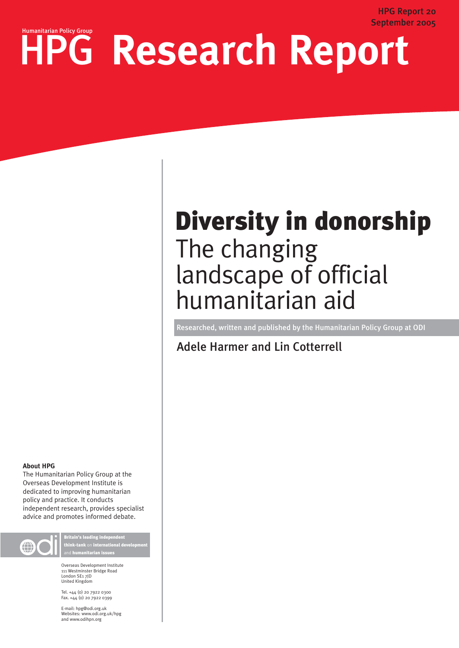# HPG Research Report

## Diversity in donorship The changing landscape of official humanitarian aid

Researched, written and published by the Humanitarian Policy Group at ODI

Adele Harmer and Lin Cotterrell

#### **About HPG**

The Humanitarian Policy Group at the Overseas Development Institute is dedicated to improving humanitarian policy and practice. It conducts independent research, provides specialist advice and promotes informed debate.



Britain's leading independent think-tank on international development and humanitarian issues

Overseas Development Institute 111 Westminster Bridge Road London SE1 7JD United Kingdom

Tel. +44 (0) 20 7922 0300 Fax. +44 (0) 20 7922 0399

E-mail: hpg@odi.org.uk Websites: www.odi.org.uk/hpg and www.odihpn.org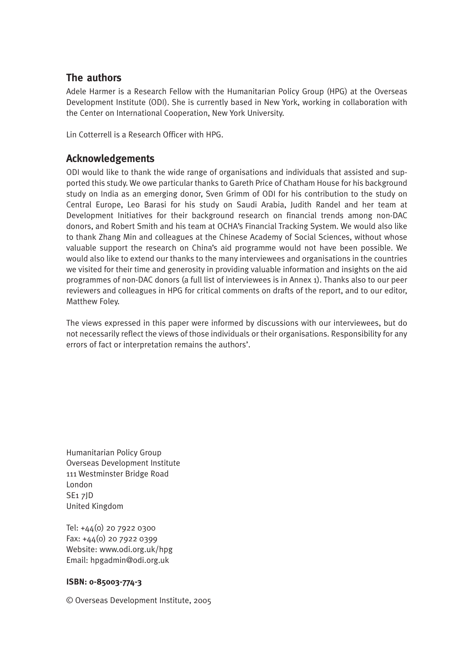### **The authors**

Adele Harmer is a Research Fellow with the Humanitarian Policy Group (HPG) at the Overseas Development Institute (ODI). She is currently based in New York, working in collaboration with the Center on International Cooperation, New York University.

Lin Cotterrell is a Research Officer with HPG.

### **Acknowledgements**

ODI would like to thank the wide range of organisations and individuals that assisted and supported this study. We owe particular thanks to Gareth Price of Chatham House for his background study on India as an emerging donor, Sven Grimm of ODI for his contribution to the study on Central Europe, Leo Barasi for his study on Saudi Arabia, Judith Randel and her team at Development Initiatives for their background research on financial trends among non-DAC donors, and Robert Smith and his team at OCHA's Financial Tracking System. We would also like to thank Zhang Min and colleagues at the Chinese Academy of Social Sciences, without whose valuable support the research on China's aid programme would not have been possible. We would also like to extend our thanks to the many interviewees and organisations in the countries we visited for their time and generosity in providing valuable information and insights on the aid programmes of non-DAC donors (a full list of interviewees is in Annex 1). Thanks also to our peer reviewers and colleagues in HPG for critical comments on drafts of the report, and to our editor, Matthew Foley.

The views expressed in this paper were informed by discussions with our interviewees, but do not necessarily reflect the views of those individuals or their organisations. Responsibility for any errors of fact or interpretation remains the authors'.

Humanitarian Policy Group Overseas Development Institute 111 Westminster Bridge Road London SE1 7JD United Kingdom

Tel: +44(0) 20 7922 0300 Fax: +44(0) 20 7922 0399 Website: www.odi.org.uk/hpg Email: hpgadmin@odi.org.uk

#### **ISBN: 0-85003-774-3**

© Overseas Development Institute, 2005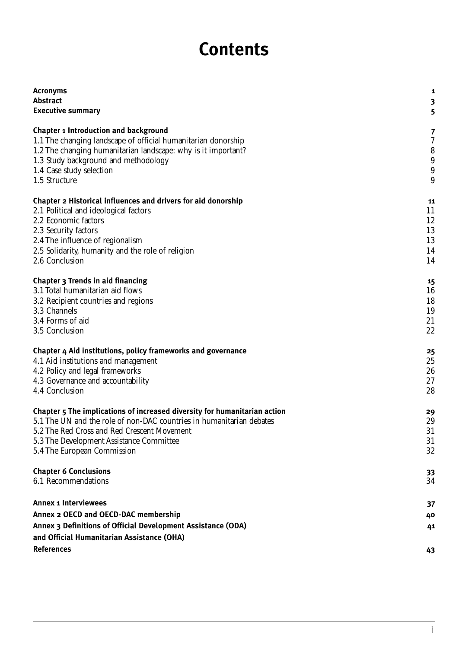### **Contents**

| <b>Acronyms</b>                                                           | 1              |
|---------------------------------------------------------------------------|----------------|
| <b>Abstract</b>                                                           | 3              |
| <b>Executive summary</b>                                                  | 5              |
| <b>Chapter 1 Introduction and background</b>                              | 7              |
| 1.1 The changing landscape of official humanitarian donorship             | $\rm 7$        |
| 1.2 The changing humanitarian landscape: why is it important?             | $8\phantom{1}$ |
| 1.3 Study background and methodology                                      | $9\,$          |
| 1.4 Case study selection                                                  | $9\,$          |
| 1.5 Structure                                                             | 9              |
| Chapter 2 Historical influences and drivers for aid donorship             | 11             |
| 2.1 Political and ideological factors                                     | 11             |
| 2.2 Economic factors                                                      | 12             |
| 2.3 Security factors                                                      | 13             |
| 2.4 The influence of regionalism                                          | 13             |
| 2.5 Solidarity, humanity and the role of religion                         | 14             |
| 2.6 Conclusion                                                            | 14             |
| Chapter 3 Trends in aid financing                                         | 15             |
| 3.1 Total humanitarian aid flows                                          | 16             |
| 3.2 Recipient countries and regions                                       | 18             |
| 3.3 Channels                                                              | 19             |
| 3.4 Forms of aid                                                          | 21             |
| 3.5 Conclusion                                                            | 22             |
| Chapter 4 Aid institutions, policy frameworks and governance              | 25             |
| 4.1 Aid institutions and management                                       | 25             |
| 4.2 Policy and legal frameworks                                           | 26             |
| 4.3 Governance and accountability                                         | 27             |
| 4.4 Conclusion                                                            | 28             |
| Chapter 5 The implications of increased diversity for humanitarian action | 29             |
| 5.1 The UN and the role of non-DAC countries in humanitarian debates      | 29             |
| 5.2 The Red Cross and Red Crescent Movement                               | 31             |
| 5.3 The Development Assistance Committee                                  | 31             |
| 5.4 The European Commission                                               | 32             |
| <b>Chapter 6 Conclusions</b>                                              | 33             |
| 6.1 Recommendations                                                       | 34             |
| <b>Annex 1 Interviewees</b>                                               | 37             |
| Annex 2 OECD and OECD-DAC membership                                      | 40             |
| Annex 3 Definitions of Official Development Assistance (ODA)              | 41             |
| and Official Humanitarian Assistance (OHA)<br><b>References</b>           | 43             |
|                                                                           |                |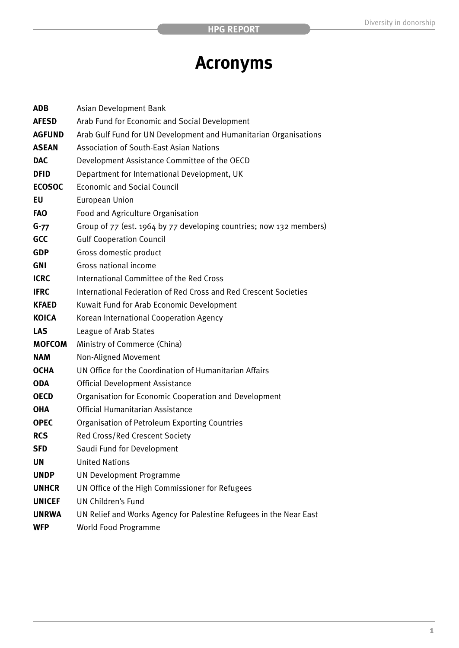### **Acronyms**

| <b>ADB</b>    | Asian Development Bank                                              |
|---------------|---------------------------------------------------------------------|
| <b>AFESD</b>  | Arab Fund for Economic and Social Development                       |
| <b>AGFUND</b> | Arab Gulf Fund for UN Development and Humanitarian Organisations    |
| <b>ASEAN</b>  | <b>Association of South-East Asian Nations</b>                      |
| <b>DAC</b>    | Development Assistance Committee of the OECD                        |
| <b>DFID</b>   | Department for International Development, UK                        |
| <b>ECOSOC</b> | <b>Economic and Social Council</b>                                  |
| EU            | European Union                                                      |
| <b>FAO</b>    | Food and Agriculture Organisation                                   |
| $G - 77$      | Group of 77 (est. 1964 by 77 developing countries; now 132 members) |
| GCC           | <b>Gulf Cooperation Council</b>                                     |
| <b>GDP</b>    | Gross domestic product                                              |
| <b>GNI</b>    | Gross national income                                               |
| <b>ICRC</b>   | International Committee of the Red Cross                            |
| <b>IFRC</b>   | International Federation of Red Cross and Red Crescent Societies    |
| <b>KFAED</b>  | Kuwait Fund for Arab Economic Development                           |
| <b>KOICA</b>  | Korean International Cooperation Agency                             |
| <b>LAS</b>    | League of Arab States                                               |
| <b>MOFCOM</b> | Ministry of Commerce (China)                                        |
| <b>NAM</b>    | Non-Aligned Movement                                                |
| <b>OCHA</b>   | UN Office for the Coordination of Humanitarian Affairs              |
| <b>ODA</b>    | <b>Official Development Assistance</b>                              |
| <b>OECD</b>   | Organisation for Economic Cooperation and Development               |
| <b>OHA</b>    | Official Humanitarian Assistance                                    |
| <b>OPEC</b>   | Organisation of Petroleum Exporting Countries                       |
| <b>RCS</b>    | Red Cross/Red Crescent Society                                      |
| SFD           | Saudi Fund for Development                                          |
| UN            | <b>United Nations</b>                                               |
| <b>UNDP</b>   | <b>UN Development Programme</b>                                     |
| <b>UNHCR</b>  | UN Office of the High Commissioner for Refugees                     |
| <b>UNICEF</b> | <b>UN Children's Fund</b>                                           |
| <b>UNRWA</b>  | UN Relief and Works Agency for Palestine Refugees in the Near East  |
| <b>WFP</b>    | World Food Programme                                                |
|               |                                                                     |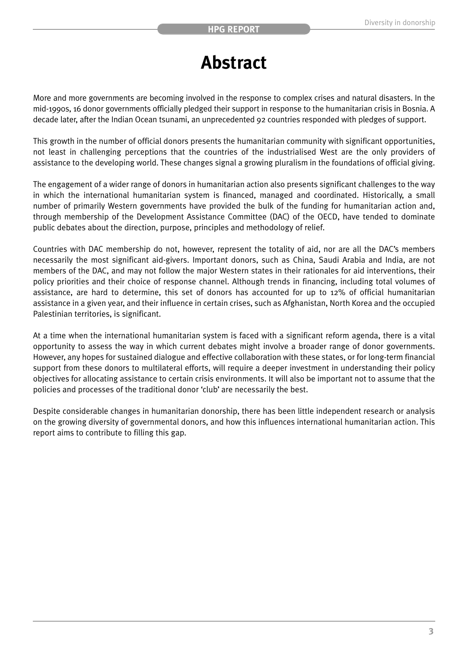### **Abstract**

More and more governments are becoming involved in the response to complex crises and natural disasters. In the mid-1990s, 16 donor governments officially pledged their support in response to the humanitarian crisis in Bosnia. A decade later, after the Indian Ocean tsunami, an unprecedented 92 countries responded with pledges of support.

This growth in the number of official donors presents the humanitarian community with significant opportunities, not least in challenging perceptions that the countries of the industrialised West are the only providers of assistance to the developing world. These changes signal a growing pluralism in the foundations of official giving.

The engagement of a wider range of donors in humanitarian action also presents significant challenges to the way in which the international humanitarian system is financed, managed and coordinated. Historically, a small number of primarily Western governments have provided the bulk of the funding for humanitarian action and, through membership of the Development Assistance Committee (DAC) of the OECD, have tended to dominate public debates about the direction, purpose, principles and methodology of relief.

Countries with DAC membership do not, however, represent the totality of aid, nor are all the DAC's members necessarily the most significant aid-givers. Important donors, such as China, Saudi Arabia and India, are not members of the DAC, and may not follow the major Western states in their rationales for aid interventions, their policy priorities and their choice of response channel. Although trends in financing, including total volumes of assistance, are hard to determine, this set of donors has accounted for up to 12% of official humanitarian assistance in a given year, and their influence in certain crises, such as Afghanistan, North Korea and the occupied Palestinian territories, is significant.

At a time when the international humanitarian system is faced with a significant reform agenda, there is a vital opportunity to assess the way in which current debates might involve a broader range of donor governments. However, any hopes for sustained dialogue and effective collaboration with these states, or for long-term financial support from these donors to multilateral efforts, will require a deeper investment in understanding their policy objectives for allocating assistance to certain crisis environments. It will also be important not to assume that the policies and processes of the traditional donor 'club' are necessarily the best.

Despite considerable changes in humanitarian donorship, there has been little independent research or analysis on the growing diversity of governmental donors, and how this influences international humanitarian action. This report aims to contribute to filling this gap.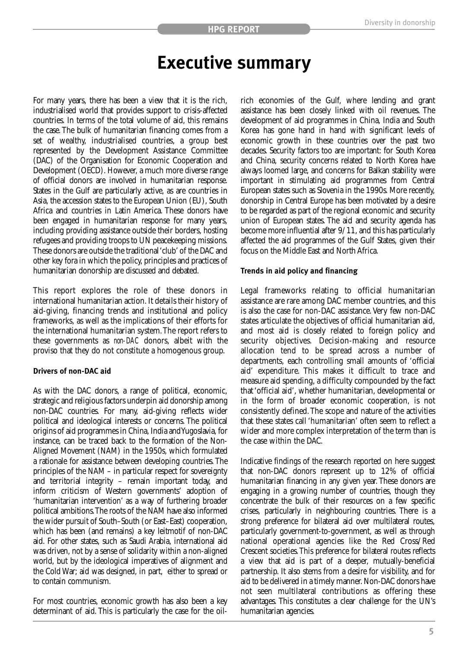### **Executive summary**

For many years, there has been a view that it is the rich, industrialised world that provides support to crisis-affected countries. In terms of the total volume of aid, this remains the case. The bulk of humanitarian financing comes from a set of wealthy, industrialised countries, a group best represented by the Development Assistance Committee (DAC) of the Organisation for Economic Cooperation and Development (OECD). However, a much more diverse range of official donors are involved in humanitarian response. States in the Gulf are particularly active, as are countries in Asia, the accession states to the European Union (EU), South Africa and countries in Latin America. These donors have been engaged in humanitarian response for many years, including providing assistance outside their borders, hosting refugees and providing troops to UN peacekeeping missions. These donors are outside the traditional 'club' of the DAC and other key fora in which the policy, principles and practices of humanitarian donorship are discussed and debated.

This report explores the role of these donors in international humanitarian action. It details their history of aid-giving, financing trends and institutional and policy frameworks, as well as the implications of their efforts for the international humanitarian system.The report refers to these governments as *non-DAC* donors, albeit with the proviso that they do not constitute a homogenous group.

#### **Drivers of non-DAC aid**

As with the DAC donors, a range of political, economic, strategic and religious factors underpin aid donorship among non-DAC countries. For many, aid-giving reflects wider political and ideological interests or concerns. The political origins of aid programmes in China, India and Yugoslavia, for instance, can be traced back to the formation of the Non-Aligned Movement (NAM) in the 1950s, which formulated a rationale for assistance between developing countries. The principles of the NAM – in particular respect for sovereignty and territorial integrity – remain important today, and inform criticism of Western governments' adoption of 'humanitarian intervention' as a way of furthering broader political ambitions.The roots of the NAM have also informed the wider pursuit of South–South (or East–East) cooperation, which has been (and remains) a key leitmotif of non-DAC aid. For other states, such as Saudi Arabia, international aid was driven, not by a sense of solidarity within a non-aligned world, but by the ideological imperatives of alignment and the Cold War; aid was designed, in part, either to spread or to contain communism.

For most countries, economic growth has also been a key determinant of aid. This is particularly the case for the oilrich economies of the Gulf, where lending and grant assistance has been closely linked with oil revenues. The development of aid programmes in China, India and South Korea has gone hand in hand with significant levels of economic growth in these countries over the past two decades. Security factors too are important: for South Korea and China, security concerns related to North Korea have always loomed large, and concerns for Balkan stability were important in stimulating aid programmes from Central European states such as Slovenia in the 1990s. More recently, donorship in Central Europe has been motivated by a desire to be regarded as part of the regional economic and security union of European states. The aid and security agenda has become more influential after 9/11, and this has particularly affected the aid programmes of the Gulf States, given their focus on the Middle East and North Africa.

#### **Trends in aid policy and financing**

Legal frameworks relating to official humanitarian assistance are rare among DAC member countries, and this is also the case for non-DAC assistance. Very few non-DAC states articulate the objectives of official humanitarian aid, and most aid is closely related to foreign policy and security objectives. Decision-making and resource allocation tend to be spread across a number of departments, each controlling small amounts of 'official aid' expenditure. This makes it difficult to trace and measure aid spending, a difficulty compounded by the fact that 'official aid', whether humanitarian, developmental or in the form of broader economic cooperation, is not consistently defined.The scope and nature of the activities that these states call 'humanitarian' often seem to reflect a wider and more complex interpretation of the term than is the case within the DAC.

Indicative findings of the research reported on here suggest that non-DAC donors represent up to 12% of official humanitarian financing in any given year. These donors are engaging in a growing number of countries, though they concentrate the bulk of their resources on a few specific crises, particularly in neighbouring countries. There is a strong preference for bilateral aid over multilateral routes, particularly government-to-government, as well as through national operational agencies like the Red Cross/Red Crescent societies.This preference for bilateral routes reflects a view that aid is part of a deeper, mutually-beneficial partnership. It also stems from a desire for visibility, and for aid to be delivered in a timely manner. Non-DAC donors have not seen multilateral contributions as offering these advantages. This constitutes a clear challenge for the UN's humanitarian agencies.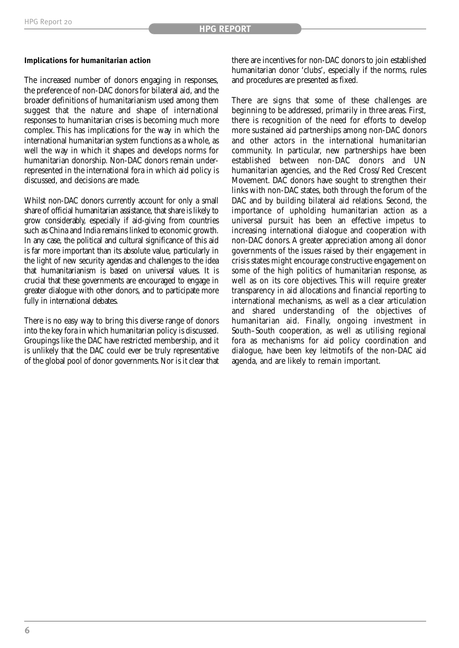#### **Implications for humanitarian action**

The increased number of donors engaging in responses, the preference of non-DAC donors for bilateral aid, and the broader definitions of humanitarianism used among them suggest that the nature and shape of international responses to humanitarian crises is becoming much more complex. This has implications for the way in which the international humanitarian system functions as a whole, as well the way in which it shapes and develops norms for humanitarian donorship. Non-DAC donors remain underrepresented in the international fora in which aid policy is discussed, and decisions are made.

Whilst non-DAC donors currently account for only a small share of official humanitarian assistance, that share is likely to grow considerably, especially if aid-giving from countries such as China and India remains linked to economic growth. In any case, the political and cultural significance of this aid is far more important than its absolute value, particularly in the light of new security agendas and challenges to the idea that humanitarianism is based on universal values. It is crucial that these governments are encouraged to engage in greater dialogue with other donors, and to participate more fully in international debates.

There is no easy way to bring this diverse range of donors into the key fora in which humanitarian policy is discussed. Groupings like the DAC have restricted membership, and it is unlikely that the DAC could ever be truly representative of the global pool of donor governments. Nor is it clear that

there are incentives for non-DAC donors to join established humanitarian donor 'clubs', especially if the norms, rules and procedures are presented as fixed.

There are signs that some of these challenges are beginning to be addressed, primarily in three areas. First, there is recognition of the need for efforts to develop more sustained aid partnerships among non-DAC donors and other actors in the international humanitarian community. In particular, new partnerships have been established between non-DAC donors and UN humanitarian agencies, and the Red Cross/Red Crescent Movement. DAC donors have sought to strengthen their links with non-DAC states, both through the forum of the DAC and by building bilateral aid relations. Second, the importance of upholding humanitarian action as a universal pursuit has been an effective impetus to increasing international dialogue and cooperation with non-DAC donors. A greater appreciation among all donor governments of the issues raised by their engagement in crisis states might encourage constructive engagement on some of the high politics of humanitarian response, as well as on its core objectives. This will require greater transparency in aid allocations and financial reporting to international mechanisms, as well as a clear articulation and shared understanding of the objectives of humanitarian aid. Finally, ongoing investment in South–South cooperation, as well as utilising regional fora as mechanisms for aid policy coordination and dialogue, have been key leitmotifs of the non-DAC aid agenda, and are likely to remain important.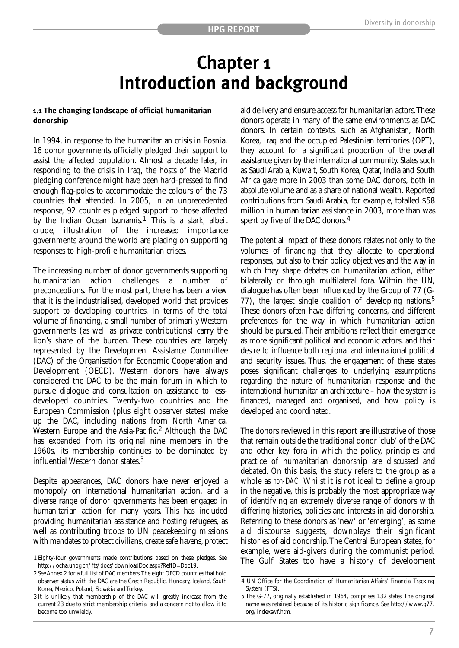### **Chapter 1 Introduction and background**

#### **1.1 The changing landscape of official humanitarian donorship**

In 1994, in response to the humanitarian crisis in Bosnia, 16 donor governments officially pledged their support to assist the affected population. Almost a decade later, in responding to the crisis in Iraq, the hosts of the Madrid pledging conference might have been hard-pressed to find enough flag-poles to accommodate the colours of the 73 countries that attended. In 2005, in an unprecedented response, 92 countries pledged support to those affected by the Indian Ocean tsunamis.<sup>1</sup> This is a stark, albeit crude, illustration of the increased importance governments around the world are placing on supporting responses to high-profile humanitarian crises.

The increasing number of donor governments supporting humanitarian action challenges a number of preconceptions. For the most part, there has been a view that it is the industrialised, developed world that provides support to developing countries. In terms of the total volume of financing, a small number of primarily Western governments (as well as private contributions) carry the lion's share of the burden. These countries are largely represented by the Development Assistance Committee (DAC) of the Organisation for Economic Cooperation and Development (OECD). Western donors have always considered the DAC to be the main forum in which to pursue dialogue and consultation on assistance to lessdeveloped countries. Twenty-two countries and the European Commission (plus eight observer states) make up the DAC, including nations from North America, Western Europe and the Asia-Pacific.<sup>2</sup> Although the DAC has expanded from its original nine members in the 1960s, its membership continues to be dominated by influential Western donor states.<sup>3</sup>

Despite appearances, DAC donors have never enjoyed a monopoly on international humanitarian action, and a diverse range of donor governments has been engaged in humanitarian action for many years. This has included providing humanitarian assistance and hosting refugees, as well as contributing troops to UN peacekeeping missions with mandates to protect civilians, create safe havens, protect aid delivery and ensure access for humanitarian actors.These donors operate in many of the same environments as DAC donors. In certain contexts, such as Afghanistan, North Korea, Iraq and the occupied Palestinian territories (OPT), they account for a significant proportion of the overall assistance given by the international community. States such as Saudi Arabia, Kuwait, South Korea, Qatar, India and South Africa gave more in 2003 than some DAC donors, both in absolute volume and as a share of national wealth. Reported contributions from Saudi Arabia, for example, totalled \$58 million in humanitarian assistance in 2003, more than was spent by five of the DAC donors.<sup>4</sup>

The potential impact of these donors relates not only to the volumes of financing that they allocate to operational responses, but also to their policy objectives and the way in which they shape debates on humanitarian action, either bilaterally or through multilateral fora. Within the UN, dialogue has often been influenced by the Group of 77 (G-77), the largest single coalition of developing nations.5 These donors often have differing concerns, and different preferences for the way in which humanitarian action should be pursued.Their ambitions reflect their emergence as more significant political and economic actors, and their desire to influence both regional and international political and security issues. Thus, the engagement of these states poses significant challenges to underlying assumptions regarding the nature of humanitarian response and the international humanitarian architecture – how the system is financed, managed and organised, and how policy is developed and coordinated.

The donors reviewed in this report are illustrative of those that remain outside the traditional donor 'club' of the DAC and other key fora in which the policy, principles and practice of humanitarian donorship are discussed and debated. On this basis, the study refers to the group as a whole as *non-DAC*. Whilst it is not ideal to define a group in the negative, this is probably the most appropriate way of identifying an extremely diverse range of donors with differing histories, policies and interests in aid donorship. Referring to these donors as 'new' or 'emerging', as some aid discourse suggests, downplays their significant histories of aid donorship.The Central European states, for example, were aid-givers during the communist period. The Gulf States too have a history of development

<sup>1</sup> Eighty-four governments made contributions based on these pledges. See http://ocha.unog.ch/fts/docs/downloadDoc.aspx?RefID=Doc19.

<sup>2</sup> See Annex 2 for a full list of DAC members.The eight OECD countries that hold observer status with the DAC are the Czech Republic, Hungary, Iceland, South Korea, Mexico, Poland, Slovakia and Turkey.

<sup>3</sup> It is unlikely that membership of the DAC will greatly increase from the current 23 due to strict membership criteria, and a concern not to allow it to become too unwieldy.

<sup>4</sup> UN Office for the Coordination of Humanitarian Affairs' Financial Tracking System (FTS).

<sup>5</sup> The G-77, originally established in 1964, comprises 132 states. The original name was retained because of its historic significance. See http://www.g77. org/indexswf.htm.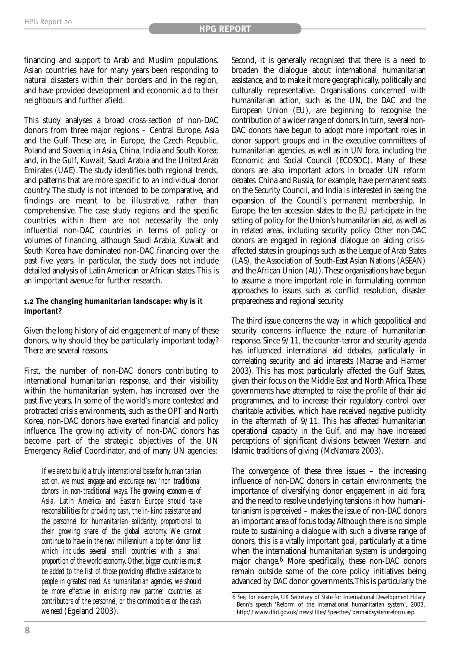financing and support to Arab and Muslim populations. Asian countries have for many years been responding to natural disasters within their borders and in the region, and have provided development and economic aid to their neighbours and further afield.

This study analyses a broad cross-section of non-DAC donors from three major regions – Central Europe, Asia and the Gulf. These are, in Europe, the Czech Republic, Poland and Slovenia; in Asia, China, India and South Korea; and, in the Gulf, Kuwait, Saudi Arabia and the United Arab Emirates (UAE). The study identifies both regional trends, and patterns that are more specific to an individual donor country. The study is not intended to be comparative, and findings are meant to be illustrative, rather than comprehensive. The case study regions and the specific countries within them are not necessarily the only influential non-DAC countries in terms of policy or volumes of financing, although Saudi Arabia, Kuwait and South Korea have dominated non-DAC financing over the past five years. In particular, the study does not include detailed analysis of Latin American or African states.This is an important avenue for further research.

#### **1.2 The changing humanitarian landscape: why is it important?**

Given the long history of aid engagement of many of these donors, why should they be particularly important today? There are several reasons.

First, the number of non-DAC donors contributing to international humanitarian response, and their visibility within the humanitarian system, has increased over the past five years. In some of the world's more contested and protracted crisis environments, such as the OPT and North Korea, non-DAC donors have exerted financial and policy influence. The growing activity of non-DAC donors has become part of the strategic objectives of the UN Emergency Relief Coordinator, and of many UN agencies:

*If we are to build a truly international base for humanitarian action, we must engage and encourage new 'non traditional donors' in non-traditional ways. The growing economies of Asia, Latin America and Eastern Europe should take responsibilities for providing cash, the in-kind assistance and the personnel for humanitarian solidarity, proportional to their growing share of the global economy. We cannot continue to have in the new millennium a top ten donor list which includes several small countries with a small proportion of the world economy.Other,bigger countries must be added to the list of those providing effective assistance to people in greatest need. As humanitarian agencies, we should be more effective in enlisting new partner countries as contributors of the personnel, or the commodities or the cash we need* (Egeland 2003)*.*

Second, it is generally recognised that there is a need to broaden the dialogue about international humanitarian assistance, and to make it more geographically, politically and culturally representative. Organisations concerned with humanitarian action, such as the UN, the DAC and the European Union (EU), are beginning to recognise the contribution of a wider range of donors. In turn, several non-DAC donors have begun to adopt more important roles in donor support groups and in the executive committees of humanitarian agencies, as well as in UN fora, including the Economic and Social Council (ECOSOC). Many of these donors are also important actors in broader UN reform debates. China and Russia, for example, have permanent seats on the Security Council, and India is interested in seeing the expansion of the Council's permanent membership. In Europe, the ten accession states to the EU participate in the setting of policy for the Union's humanitarian aid, as well as in related areas, including security policy. Other non-DAC donors are engaged in regional dialogue on aiding crisisaffected states in groupings such as the League of Arab States (LAS), the Association of South-East Asian Nations (ASEAN) and the African Union (AU).These organisations have begun to assume a more important role in formulating common approaches to issues such as conflict resolution, disaster preparedness and regional security.

The third issue concerns the way in which geopolitical and security concerns influence the nature of humanitarian response. Since 9/11, the counter-terror and security agenda has influenced international aid debates, particularly in correlating security and aid interests (Macrae and Harmer 2003). This has most particularly affected the Gulf States, given their focus on the Middle East and North Africa.These governments have attempted to raise the profile of their aid programmes, and to increase their regulatory control over charitable activities, which have received negative publicity in the aftermath of 9/11. This has affected humanitarian operational capacity in the Gulf, and may have increased perceptions of significant divisions between Western and Islamic traditions of giving (McNamara 2003).

The convergence of these three issues – the increasing influence of non-DAC donors in certain environments; the importance of diversifying donor engagement in aid fora; and the need to resolve underlying tensions in how humanitarianism is perceived – makes the issue of non-DAC donors an important area of focus today.Although there is no simple route to sustaining a dialogue with such a diverse range of donors, this is a vitally important goal, particularly at a time when the international humanitarian system is undergoing major change.6 More specifically, these non-DAC donors remain outside some of the core policy initiatives being advanced by DAC donor governments.This is particularly the

<sup>6</sup> See, for example, UK Secretary of State for International Development Hilary Benn's speech 'Reform of the international humanitarian system', 2003, http://www.dfid.gov.uk/news/files/Speeches/bennaidsystemreform.asp.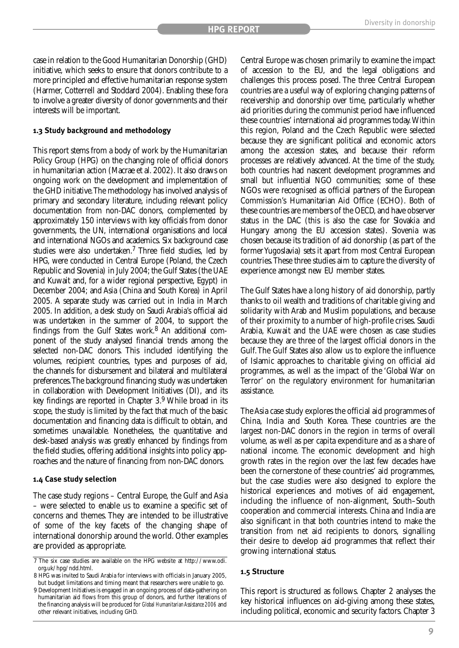case in relation to the Good Humanitarian Donorship (GHD) initiative, which seeks to ensure that donors contribute to a more principled and effective humanitarian response system (Harmer, Cotterrell and Stoddard 2004). Enabling these fora to involve a greater diversity of donor governments and their interests will be important.

#### **1.3 Study background and methodology**

This report stems from a body of work by the Humanitarian Policy Group (HPG) on the changing role of official donors in humanitarian action (Macrae et al. 2002). It also draws on ongoing work on the development and implementation of the GHD initiative.The methodology has involved analysis of primary and secondary literature, including relevant policy documentation from non-DAC donors, complemented by approximately 150 interviews with key officials from donor governments, the UN, international organisations and local and international NGOs and academics. Six background case studies were also undertaken.7 Three field studies, led by HPG, were conducted in Central Europe (Poland, the Czech Republic and Slovenia) in July 2004; the Gulf States (the UAE and Kuwait and, for a wider regional perspective, Egypt) in December 2004; and Asia (China and South Korea) in April 2005. A separate study was carried out in India in March 2005. In addition, a desk study on Saudi Arabia's official aid was undertaken in the summer of 2004, to support the findings from the Gulf States work.8 An additional component of the study analysed financial trends among the selected non-DAC donors. This included identifying the volumes, recipient countries, types and purposes of aid, the channels for disbursement and bilateral and multilateral preferences.The background financing study was undertaken in collaboration with Development Initiatives (DI), and its key findings are reported in Chapter  $3.9$  While broad in its scope, the study is limited by the fact that much of the basic documentation and financing data is difficult to obtain, and sometimes unavailable. Nonetheless, the quantitative and desk-based analysis was greatly enhanced by findings from the field studies, offering additional insights into policy approaches and the nature of financing from non-DAC donors.

#### **1.4 Case study selection**

The case study regions – Central Europe, the Gulf and Asia – were selected to enable us to examine a specific set of concerns and themes. They are intended to be illustrative of some of the key facets of the changing shape of international donorship around the world. Other examples are provided as appropriate.

Central Europe was chosen primarily to examine the impact of accession to the EU, and the legal obligations and challenges this process posed. The three Central European countries are a useful way of exploring changing patterns of receivership and donorship over time, particularly whether aid priorities during the communist period have influenced these countries' international aid programmes today.Within this region, Poland and the Czech Republic were selected because they are significant political and economic actors among the accession states, and because their reform processes are relatively advanced. At the time of the study, both countries had nascent development programmes and small but influential NGO communities; some of these NGOs were recognised as official partners of the European Commission's Humanitarian Aid Office (ECHO). Both of these countries are members of the OECD, and have observer status in the DAC (this is also the case for Slovakia and Hungary among the EU accession states). Slovenia was chosen because its tradition of aid donorship (as part of the former Yugoslavia) sets it apart from most Central European countries.These three studies aim to capture the diversity of experience amongst new EU member states.

The Gulf States have a long history of aid donorship, partly thanks to oil wealth and traditions of charitable giving and solidarity with Arab and Muslim populations, and because of their proximity to a number of high-profile crises. Saudi Arabia, Kuwait and the UAE were chosen as case studies because they are three of the largest official donors in the Gulf.The Gulf States also allow us to explore the influence of Islamic approaches to charitable giving on official aid programmes, as well as the impact of the 'Global War on Terror' on the regulatory environment for humanitarian assistance.

The Asia case study explores the official aid programmes of China, India and South Korea. These countries are the largest non-DAC donors in the region in terms of overall volume, as well as per capita expenditure and as a share of national income. The economic development and high growth rates in the region over the last few decades have been the cornerstone of these countries' aid programmes, but the case studies were also designed to explore the historical experiences and motives of aid engagement, including the influence of non-alignment, South–South cooperation and commercial interests. China and India are also significant in that both countries intend to make the transition from net aid recipients to donors, signalling their desire to develop aid programmes that reflect their growing international status.

#### **1.5 Structure**

This report is structured as follows. Chapter 2 analyses the key historical influences on aid-giving among these states, including political, economic and security factors. Chapter 3

<sup>7</sup> The six case studies are available on the HPG website at http://www.odi. org.uk/hpg/ndd.html.

<sup>8</sup> HPG was invited to Saudi Arabia for interviews with officials in January 2005, but budget limitations and timing meant that researchers were unable to go.

<sup>9</sup> Development Initiatives is engaged in an ongoing process of data-gathering on humanitarian aid flows from this group of donors, and further iterations of the financing analysis will be produced for *Global Humanitarian Assistance 2006* and other relevant initiatives, including GHD.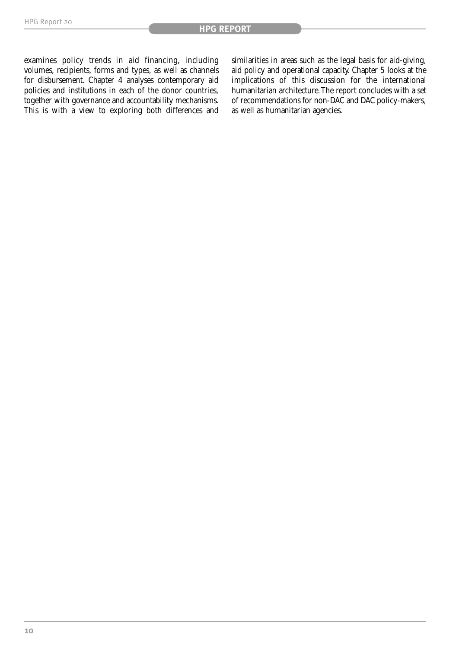examines policy trends in aid financing, including volumes, recipients, forms and types, as well as channels for disbursement. Chapter 4 analyses contemporary aid policies and institutions in each of the donor countries, together with governance and accountability mechanisms. This is with a view to exploring both differences and

similarities in areas such as the legal basis for aid-giving, aid policy and operational capacity. Chapter 5 looks at the implications of this discussion for the international humanitarian architecture.The report concludes with a set of recommendations for non-DAC and DAC policy-makers, as well as humanitarian agencies.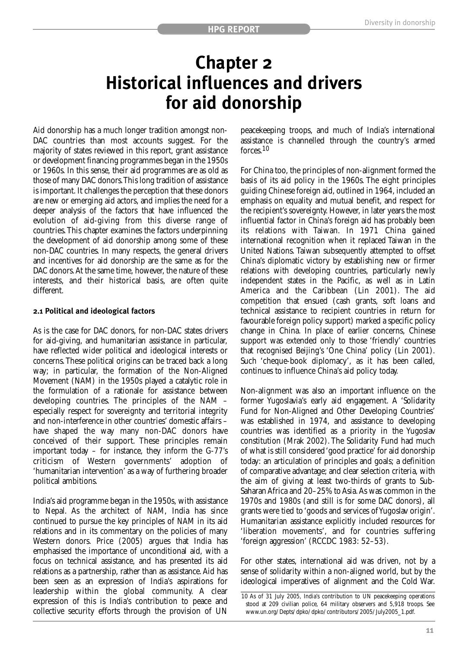### **Chapter 2 Historical influences and drivers for aid donorship**

Aid donorship has a much longer tradition amongst non-DAC countries than most accounts suggest. For the majority of states reviewed in this report, grant assistance or development financing programmes began in the 1950s or 1960s. In this sense, their aid programmes are as old as those of many DAC donors.This long tradition of assistance is important. It challenges the perception that these donors are new or emerging aid actors, and implies the need for a deeper analysis of the factors that have influenced the evolution of aid-giving from this diverse range of countries. This chapter examines the factors underpinning the development of aid donorship among some of these non-DAC countries. In many respects, the general drivers and incentives for aid donorship are the same as for the DAC donors. At the same time, however, the nature of these interests, and their historical basis, are often quite different.

#### **2.1 Political and ideological factors**

As is the case for DAC donors, for non-DAC states drivers for aid-giving, and humanitarian assistance in particular, have reflected wider political and ideological interests or concerns.These political origins can be traced back a long way; in particular, the formation of the Non-Aligned Movement (NAM) in the 1950s played a catalytic role in the formulation of a rationale for assistance between developing countries. The principles of the NAM – especially respect for sovereignty and territorial integrity and non-interference in other countries' domestic affairs – have shaped the way many non-DAC donors have conceived of their support. These principles remain important today – for instance, they inform the G-77's criticism of Western governments' adoption of 'humanitarian intervention' as a way of furthering broader political ambitions.

India's aid programme began in the 1950s, with assistance to Nepal. As the architect of NAM, India has since continued to pursue the key principles of NAM in its aid relations and in its commentary on the policies of many Western donors. Price (2005) argues that India has emphasised the importance of unconditional aid, with a focus on technical assistance, and has presented its aid relations as a partnership, rather than as assistance. Aid has been seen as an expression of India's aspirations for leadership within the global community. A clear expression of this is India's contribution to peace and collective security efforts through the provision of UN peacekeeping troops, and much of India's international assistance is channelled through the country's armed forces.<sup>10</sup>

For China too, the principles of non-alignment formed the basis of its aid policy in the 1960s. The eight principles guiding Chinese foreign aid, outlined in 1964, included an emphasis on equality and mutual benefit, and respect for the recipient's sovereignty. However, in later years the most influential factor in China's foreign aid has probably been its relations with Taiwan. In 1971 China gained international recognition when it replaced Taiwan in the United Nations. Taiwan subsequently attempted to offset China's diplomatic victory by establishing new or firmer relations with developing countries, particularly newly independent states in the Pacific, as well as in Latin America and the Caribbean (Lin 2001). The aid competition that ensued (cash grants, soft loans and technical assistance to recipient countries in return for favourable foreign policy support) marked a specific policy change in China. In place of earlier concerns, Chinese support was extended only to those 'friendly' countries that recognised Beijing's 'One China' policy (Lin 2001). Such 'cheque-book diplomacy', as it has been called, continues to influence China's aid policy today.

Non-alignment was also an important influence on the former Yugoslavia's early aid engagement. A 'Solidarity Fund for Non-Aligned and Other Developing Countries' was established in 1974, and assistance to developing countries was identified as a priority in the Yugoslav constitution (Mrak 2002). The Solidarity Fund had much of what is still considered 'good practice' for aid donorship today: an articulation of principles and goals; a definition of comparative advantage; and clear selection criteria, with the aim of giving at least two-thirds of grants to Sub-Saharan Africa and 20–25% to Asia. As was common in the 1970s and 1980s (and still is for some DAC donors), all grants were tied to 'goods and services of Yugoslav origin'. Humanitarian assistance explicitly included resources for 'liberation movements', and for countries suffering 'foreign aggression' (RCCDC 1983: 52–53).

For other states, international aid was driven, not by a sense of solidarity within a non-aligned world, but by the ideological imperatives of alignment and the Cold War.

<sup>10</sup> As of 31 July 2005, India's contribution to UN peacekeeping operations stood at 209 civilian police, 64 military observers and 5,918 troops. See www.un.org/Depts/dpko/dpko/contributors/2005/July2005\_1.pdf.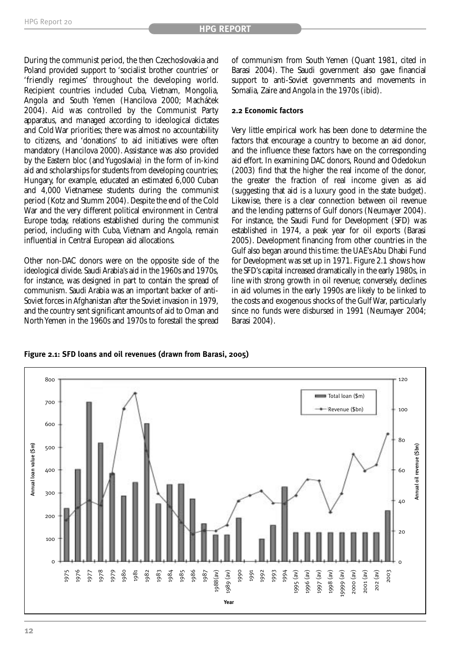During the communist period, the then Czechoslovakia and Poland provided support to 'socialist brother countries' or 'friendly regimes' throughout the developing world. Recipient countries included Cuba, Vietnam, Mongolia, Angola and South Yemen (Hancilova 2000; Macháček 2004). Aid was controlled by the Communist Party apparatus, and managed according to ideological dictates and Cold War priorities; there was almost no accountability to citizens, and 'donations' to aid initiatives were often mandatory (Hancilova 2000). Assistance was also provided by the Eastern bloc (and Yugoslavia) in the form of in-kind aid and scholarships for students from developing countries; Hungary, for example, educated an estimated 6,000 Cuban and 4,000 Vietnamese students during the communist period (Kotz and Stumm 2004). Despite the end of the Cold War and the very different political environment in Central Europe today, relations established during the communist period, including with Cuba, Vietnam and Angola, remain influential in Central European aid allocations.

Other non-DAC donors were on the opposite side of the ideological divide. Saudi Arabia's aid in the 1960s and 1970s, for instance, was designed in part to contain the spread of communism. Saudi Arabia was an important backer of anti-Soviet forces in Afghanistan after the Soviet invasion in 1979, and the country sent significant amounts of aid to Oman and North Yemen in the 1960s and 1970s to forestall the spread

of communism from South Yemen (Quant 1981, cited in Barasi 2004). The Saudi government also gave financial support to anti-Soviet governments and movements in Somalia, Zaire and Angola in the 1970s (ibid).

#### **2.2 Economic factors**

Very little empirical work has been done to determine the factors that encourage a country to become an aid donor, and the influence these factors have on the corresponding aid effort. In examining DAC donors, Round and Odedokun (2003) find that the higher the real income of the donor, the greater the fraction of real income given as aid (suggesting that aid is a luxury good in the state budget). Likewise, there is a clear connection between oil revenue and the lending patterns of Gulf donors (Neumayer 2004). For instance, the Saudi Fund for Development (SFD) was established in 1974, a peak year for oil exports (Barasi 2005). Development financing from other countries in the Gulf also began around this time: the UAE's Abu Dhabi Fund for Development was set up in 1971. Figure 2.1 shows how the SFD's capital increased dramatically in the early 1980s, in line with strong growth in oil revenue; conversely, declines in aid volumes in the early 1990s are likely to be linked to the costs and exogenous shocks of the Gulf War, particularly since no funds were disbursed in 1991 (Neumayer 2004; Barasi 2004).

**Figure 2.1: SFD loans and oil revenues (drawn from Barasi, 2005)**

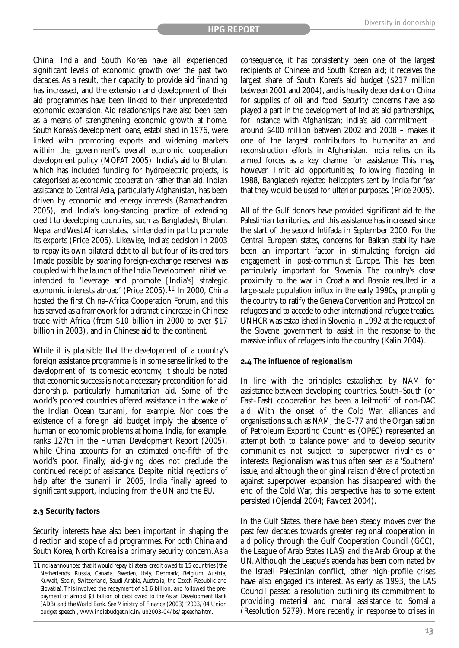China, India and South Korea have all experienced significant levels of economic growth over the past two decades. As a result, their capacity to provide aid financing has increased, and the extension and development of their aid programmes have been linked to their unprecedented economic expansion. Aid relationships have also been seen as a means of strengthening economic growth at home. South Korea's development loans, established in 1976, were linked with promoting exports and widening markets within the government's overall economic cooperation development policy (MOFAT 2005). India's aid to Bhutan, which has included funding for hydroelectric projects, is categorised as economic cooperation rather than aid. Indian assistance to Central Asia, particularly Afghanistan, has been driven by economic and energy interests (Ramachandran 2005), and India's long-standing practice of extending credit to developing countries, such as Bangladesh, Bhutan, Nepal and West African states, is intended in part to promote its exports (Price 2005). Likewise, India's decision in 2003 to repay its own bilateral debt to all but four of its creditors (made possible by soaring foreign-exchange reserves) was coupled with the launch of the India Development Initiative, intended to 'leverage and promote [India's] strategic economic interests abroad' (Price 2005).11 In 2000, China hosted the first China–Africa Cooperation Forum, and this has served as a framework for a dramatic increase in Chinese trade with Africa (from \$10 billion in 2000 to over \$17 billion in 2003), and in Chinese aid to the continent.

While it is plausible that the development of a country's foreign assistance programme is in some sense linked to the development of its domestic economy, it should be noted that economic success is not a necessary precondition for aid donorship, particularly humanitarian aid. Some of the world's poorest countries offered assistance in the wake of the Indian Ocean tsunami, for example. Nor does the existence of a foreign aid budget imply the absence of human or economic problems at home. India, for example, ranks 127th in the Human Development Report (2005), while China accounts for an estimated one-fifth of the world's poor. Finally, aid-giving does not preclude the continued receipt of assistance. Despite initial rejections of help after the tsunami in 2005, India finally agreed to significant support, including from the UN and the EU.

#### **2.3 Security factors**

Security interests have also been important in shaping the direction and scope of aid programmes. For both China and South Korea, North Korea is a primary security concern. As a consequence, it has consistently been one of the largest recipients of Chinese and South Korean aid; it receives the largest share of South Korea's aid budget (\$217 million between 2001 and 2004), and is heavily dependent on China for supplies of oil and food. Security concerns have also played a part in the development of India's aid partnerships, for instance with Afghanistan; India's aid commitment – around \$400 million between 2002 and 2008 – makes it one of the largest contributors to humanitarian and reconstruction efforts in Afghanistan. India relies on its armed forces as a key channel for assistance. This may, however, limit aid opportunities; following flooding in 1988, Bangladesh rejected helicopters sent by India for fear that they would be used for ulterior purposes. (Price 2005).

All of the Gulf donors have provided significant aid to the Palestinian territories, and this assistance has increased since the start of the second Intifada in September 2000. For the Central European states, concerns for Balkan stability have been an important factor in stimulating foreign aid engagement in post-communist Europe. This has been particularly important for Slovenia. The country's close proximity to the war in Croatia and Bosnia resulted in a large-scale population influx in the early 1990s, prompting the country to ratify the Geneva Convention and Protocol on refugees and to accede to other international refugee treaties. UNHCR was established in Slovenia in 1992 at the request of the Slovene government to assist in the response to the massive influx of refugees into the country (Kalin 2004).

#### **2.4 The influence of regionalism**

In line with the principles established by NAM for assistance between developing countries, South–South (or East–East) cooperation has been a leitmotif of non-DAC aid. With the onset of the Cold War, alliances and organisations such as NAM, the G-77 and the Organisation of Petroleum Exporting Countries (OPEC) represented an attempt both to balance power and to develop security communities not subject to superpower rivalries or interests. Regionalism was thus often seen as a 'Southern' issue, and although the original raison d'être of protection against superpower expansion has disappeared with the end of the Cold War, this perspective has to some extent persisted (Ojendal 2004; Fawcett 2004).

In the Gulf States, there have been steady moves over the past few decades towards greater regional cooperation in aid policy through the Gulf Cooperation Council (GCC), the League of Arab States (LAS) and the Arab Group at the UN. Although the League's agenda has been dominated by the Israeli–Palestinian conflict, other high-profile crises have also engaged its interest. As early as 1993, the LAS Council passed a resolution outlining its commitment to providing material and moral assistance to Somalia (Resolution 5279). More recently, in response to crises in

<sup>11</sup>India announced that it would repay bilateral credit owed to 15 countries (the Netherlands, Russia, Canada, Sweden, Italy, Denmark, Belgium, Austria, Kuwait, Spain, Switzerland, Saudi Arabia, Australia, the Czech Republic and Slovakia).This involved the repayment of \$1.6 billion, and followed the prepayment of almost \$3 billion of debt owed to the Asian Development Bank (ADB) and the World Bank. See Ministry of Finance (2003) '2003/04 Union budget speech', www.indiabudget.nic.in/ub2003-04/bs/speecha.htm.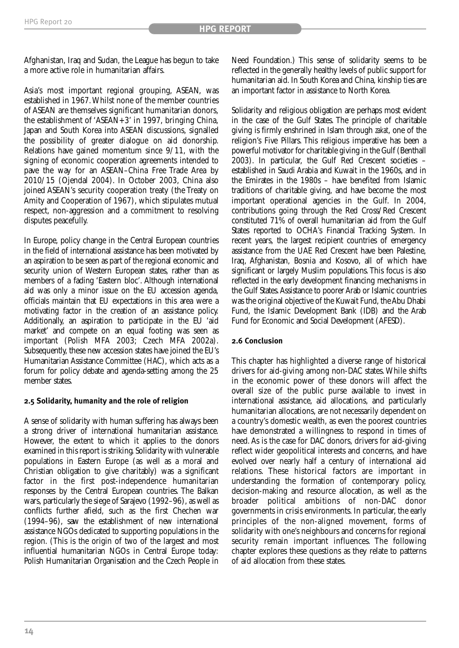Afghanistan, Iraq and Sudan, the League has begun to take a more active role in humanitarian affairs.

Asia's most important regional grouping, ASEAN, was established in 1967.Whilst none of the member countries of ASEAN are themselves significant humanitarian donors, the establishment of 'ASEAN+3' in 1997, bringing China, Japan and South Korea into ASEAN discussions, signalled the possibility of greater dialogue on aid donorship. Relations have gained momentum since 9/11, with the signing of economic cooperation agreements intended to pave the way for an ASEAN–China Free Trade Area by 2010/15 (Ojendal 2004). In October 2003, China also joined ASEAN's security cooperation treaty (the Treaty on Amity and Cooperation of 1967), which stipulates mutual respect, non-aggression and a commitment to resolving disputes peacefully.

In Europe, policy change in the Central European countries in the field of international assistance has been motivated by an aspiration to be seen as part of the regional economic and security union of Western European states, rather than as members of a fading 'Eastern bloc'. Although international aid was only a minor issue on the EU accession agenda, officials maintain that EU expectations in this area were a motivating factor in the creation of an assistance policy. Additionally, an aspiration to participate in the EU 'aid market' and compete on an equal footing was seen as important (Polish MFA 2003; Czech MFA 2002a). Subsequently, these new accession states have joined the EU's Humanitarian Assistance Committee (HAC), which acts as a forum for policy debate and agenda-setting among the 25 member states.

#### **2.5 Solidarity, humanity and the role of religion**

A sense of solidarity with human suffering has always been a strong driver of international humanitarian assistance. However, the extent to which it applies to the donors examined in this report is striking. Solidarity with vulnerable populations in Eastern Europe (as well as a moral and Christian obligation to give charitably) was a significant factor in the first post-independence humanitarian responses by the Central European countries. The Balkan wars, particularly the siege of Sarajevo (1992–96), as well as conflicts further afield, such as the first Chechen war (1994–96), saw the establishment of new international assistance NGOs dedicated to supporting populations in the region. (This is the origin of two of the largest and most influential humanitarian NGOs in Central Europe today: Polish Humanitarian Organisation and the Czech People in

Need Foundation.) This sense of solidarity seems to be reflected in the generally healthy levels of public support for humanitarian aid. In South Korea and China, kinship ties are an important factor in assistance to North Korea.

Solidarity and religious obligation are perhaps most evident in the case of the Gulf States. The principle of charitable giving is firmly enshrined in Islam through *zakat*, one of the religion's Five Pillars. This religious imperative has been a powerful motivator for charitable giving in the Gulf (Benthall 2003). In particular, the Gulf Red Crescent societies – established in Saudi Arabia and Kuwait in the 1960s, and in the Emirates in the 1980s – have benefited from Islamic traditions of charitable giving, and have become the most important operational agencies in the Gulf. In 2004, contributions going through the Red Cross/Red Crescent constituted 71% of overall humanitarian aid from the Gulf States reported to OCHA's Financial Tracking System. In recent years, the largest recipient countries of emergency assistance from the UAE Red Crescent have been Palestine, Iraq, Afghanistan, Bosnia and Kosovo, all of which have significant or largely Muslim populations. This focus is also reflected in the early development financing mechanisms in the Gulf States.Assistance to poorer Arab or Islamic countries was the original objective of the Kuwait Fund, the Abu Dhabi Fund, the Islamic Development Bank (IDB) and the Arab Fund for Economic and Social Development (AFESD).

#### **2.6 Conclusion**

This chapter has highlighted a diverse range of historical drivers for aid-giving among non-DAC states. While shifts in the economic power of these donors will affect the overall size of the public purse available to invest in international assistance, aid allocations, and particularly humanitarian allocations, are not necessarily dependent on a country's domestic wealth, as even the poorest countries have demonstrated a willingness to respond in times of need. As is the case for DAC donors, drivers for aid-giving reflect wider geopolitical interests and concerns, and have evolved over nearly half a century of international aid relations. These historical factors are important in understanding the formation of contemporary policy, decision-making and resource allocation, as well as the broader political ambitions of non-DAC donor governments in crisis environments. In particular, the early principles of the non-aligned movement, forms of solidarity with one's neighbours and concerns for regional security remain important influences. The following chapter explores these questions as they relate to patterns of aid allocation from these states.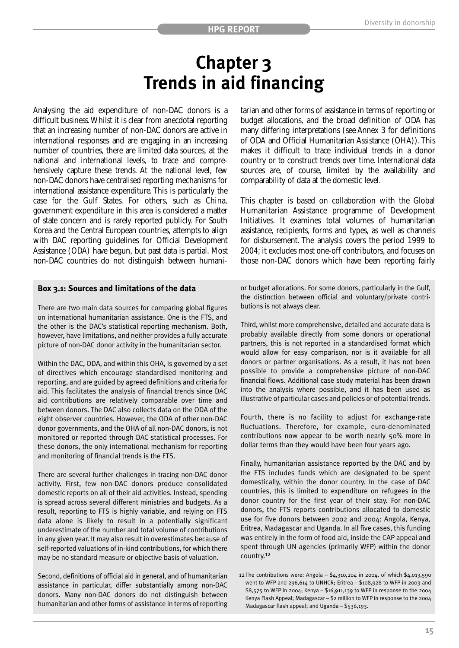### **Chapter 3 Trends in aid financing**

Analysing the aid expenditure of non-DAC donors is a difficult business.Whilst it is clear from anecdotal reporting that an increasing number of non-DAC donors are active in international responses and are engaging in an increasing number of countries, there are limited data sources, at the national and international levels, to trace and comprehensively capture these trends. At the national level, few non-DAC donors have centralised reporting mechanisms for international assistance expenditure. This is particularly the case for the Gulf States. For others, such as China, government expenditure in this area is considered a matter of state concern and is rarely reported publicly. For South Korea and the Central European countries, attempts to align with DAC reporting guidelines for Official Development Assistance (ODA) have begun, but past data is partial. Most non-DAC countries do not distinguish between humanitarian and other forms of assistance in terms of reporting or budget allocations, and the broad definition of ODA has many differing interpretations (see Annex 3 for definitions of ODA and Official Humanitarian Assistance (OHA)). This makes it difficult to trace individual trends in a donor country or to construct trends over time. International data sources are, of course, limited by the availability and comparability of data at the domestic level.

This chapter is based on collaboration with the Global Humanitarian Assistance programme of Development Initiatives. It examines total volumes of humanitarian assistance, recipients, forms and types, as well as channels for disbursement. The analysis covers the period 1999 to 2004; it excludes most one-off contributors, and focuses on those non-DAC donors which have been reporting fairly

#### **Box 3.1: Sources and limitations of the data**

There are two main data sources for comparing global figures on international humanitarian assistance. One is the FTS, and the other is the DAC's statistical reporting mechanism. Both, however, have limitations, and neither provides a fully accurate picture of non-DAC donor activity in the humanitarian sector.

Within the DAC, ODA, and within this OHA, is governed by a set of directives which encourage standardised monitoring and reporting, and are guided by agreed definitions and criteria for aid. This facilitates the analysis of financial trends since DAC aid contributions are relatively comparable over time and between donors. The DAC also collects data on the ODA of the eight observer countries. However, the ODA of other non-DAC donor governments, and the OHA of all non-DAC donors, is not monitored or reported through DAC statistical processes. For these donors, the only international mechanism for reporting and monitoring of financial trends is the FTS.

There are several further challenges in tracing non-DAC donor activity. First, few non-DAC donors produce consolidated domestic reports on all of their aid activities. Instead, spending is spread across several different ministries and budgets. As a result, reporting to FTS is highly variable, and relying on FTS data alone is likely to result in a potentially significant underestimate of the number and total volume of contributions in any given year. It may also result in overestimates because of self-reported valuations of in-kind contributions, for which there may be no standard measure or objective basis of valuation.

Second, definitions of official aid in general, and of humanitarian assistance in particular, differ substantially among non-DAC donors. Many non-DAC donors do not distinguish between humanitarian and other forms of assistance in terms of reporting or budget allocations. For some donors, particularly in the Gulf, the distinction between official and voluntary/private contributions is not always clear.

Third, whilst more comprehensive, detailed and accurate data is probably available directly from some donors or operational partners, this is not reported in a standardised format which would allow for easy comparison, nor is it available for all donors or partner organisations. As a result, it has not been possible to provide a comprehensive picture of non-DAC financial flows. Additional case study material has been drawn into the analysis where possible, and it has been used as illustrative of particular cases and policies or of potential trends.

Fourth, there is no facility to adjust for exchange-rate fluctuations. Therefore, for example, euro-denominated contributions now appear to be worth nearly 50% more in dollar terms than they would have been four years ago.

Finally, humanitarian assistance reported by the DAC and by the FTS includes funds which are designated to be spent domestically, within the donor country. In the case of DAC countries, this is limited to expenditure on refugees in the donor country for the first year of their stay. For non-DAC donors, the FTS reports contributions allocated to domestic use for five donors between 2002 and 2004: Angola, Kenya, Eritrea, Madagascar and Uganda. In all five cases, this funding was entirely in the form of food aid, inside the CAP appeal and spent through UN agencies (primarily WFP) within the donor country.<sup>12</sup>

<sup>12</sup>The contributions were: Angola – \$4,310,204 in 2004, of which \$4,013,590 went to WFP and 296,614 to UNHCR; Eritrea – \$108,928 to WFP in 2003 and \$8,575 to WFP in 2004; Kenya – \$16,911,139 to WFP in response to the 2004 Kenya Flash Appeal; Madagascar – \$2 million to WFP in response to the 2004 Madagascar flash appeal; and Uganda – \$536,193.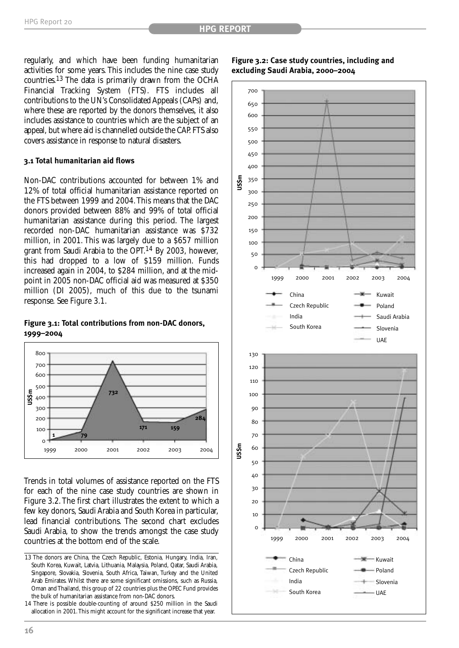regularly, and which have been funding humanitarian activities for some years. This includes the nine case study countries.13 The data is primarily drawn from the OCHA Financial Tracking System (FTS). FTS includes all contributions to the UN's Consolidated Appeals (CAPs) and, where these are reported by the donors themselves, it also includes assistance to countries which are the subject of an appeal, but where aid is channelled outside the CAP. FTS also covers assistance in response to natural disasters.

#### **3.1 Total humanitarian aid flows**

Non-DAC contributions accounted for between 1% and 12% of total official humanitarian assistance reported on the FTS between 1999 and 2004.This means that the DAC donors provided between 88% and 99% of total official humanitarian assistance during this period. The largest recorded non-DAC humanitarian assistance was \$732 million, in 2001. This was largely due to a \$657 million grant from Saudi Arabia to the OPT.<sup>14</sup> By 2003, however, this had dropped to a low of \$159 million. Funds increased again in 2004, to \$284 million, and at the midpoint in 2005 non-DAC official aid was measured at \$350 million (DI 2005), much of this due to the tsunami response. See Figure 3.1.

#### **Figure 3.1: Total contributions from non-DAC donors, 1999–2004**



Trends in total volumes of assistance reported on the FTS for each of the nine case study countries are shown in Figure 3.2. The first chart illustrates the extent to which a few key donors, Saudi Arabia and South Korea in particular, lead financial contributions. The second chart excludes Saudi Arabia, to show the trends amongst the case study countries at the bottom end of the scale.



#### **Figure 3.2: Case study countries, including and excluding Saudi Arabia, 2000–2004**



<sup>13</sup> The donors are China, the Czech Republic, Estonia, Hungary, India, Iran, South Korea, Kuwait, Latvia, Lithuania, Malaysia, Poland, Qatar, Saudi Arabia, Singapore, Slovakia, Slovenia, South Africa, Taiwan, Turkey and the United Arab Emirates. Whilst there are some significant omissions, such as Russia, Oman and Thailand, this group of 22 countries plus the OPEC Fund provides the bulk of humanitarian assistance from non-DAC donors.

<sup>14</sup> There is possible double-counting of around \$250 million in the Saudi allocation in 2001.This might account for the significant increase that year.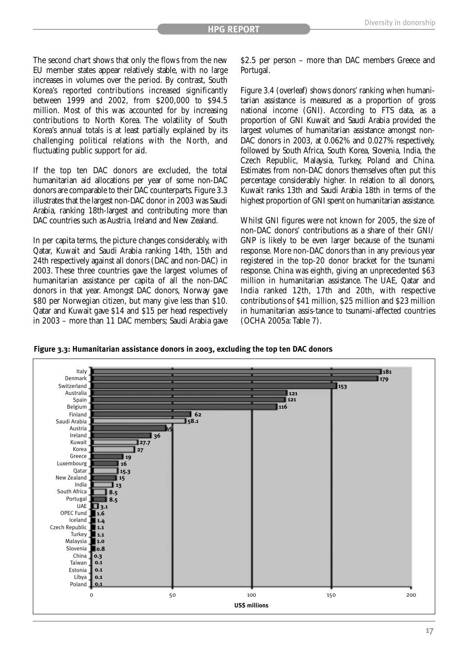The second chart shows that only the flows from the new EU member states appear relatively stable, with no large increases in volumes over the period. By contrast, South Korea's reported contributions increased significantly between 1999 and 2002, from \$200,000 to \$94.5 million. Most of this was accounted for by increasing contributions to North Korea. The volatility of South Korea's annual totals is at least partially explained by its challenging political relations with the North, and fluctuating public support for aid.

If the top ten DAC donors are excluded, the total humanitarian aid allocations per year of some non-DAC donors are comparable to their DAC counterparts. Figure 3.3 illustrates that the largest non-DAC donor in 2003 was Saudi Arabia, ranking 18th-largest and contributing more than DAC countries such as Austria, Ireland and New Zealand.

In per capita terms, the picture changes considerably, with Qatar, Kuwait and Saudi Arabia ranking 14th, 15th and 24th respectively against all donors (DAC and non-DAC) in 2003. These three countries gave the largest volumes of humanitarian assistance per capita of all the non-DAC donors in that year. Amongst DAC donors, Norway gave \$80 per Norwegian citizen, but many give less than \$10. Qatar and Kuwait gave \$14 and \$15 per head respectively in 2003 – more than 11 DAC members; Saudi Arabia gave \$2.5 per person – more than DAC members Greece and Portugal.

Figure 3.4 (overleaf) shows donors' ranking when humanitarian assistance is measured as a proportion of gross national income (GNI). According to FTS data, as a proportion of GNI Kuwait and Saudi Arabia provided the largest volumes of humanitarian assistance amongst non-DAC donors in 2003, at 0.062% and 0.027% respectively, followed by South Africa, South Korea, Slovenia, India, the Czech Republic, Malaysia, Turkey, Poland and China. Estimates from non-DAC donors themselves often put this percentage considerably higher. In relation to all donors, Kuwait ranks 13th and Saudi Arabia 18th in terms of the highest proportion of GNI spent on humanitarian assistance.

Whilst GNI figures were not known for 2005, the size of non-DAC donors' contributions as a share of their GNI/ GNP is likely to be even larger because of the tsunami response. More non-DAC donors than in any previous year registered in the top-20 donor bracket for the tsunami response. China was eighth, giving an unprecedented \$63 million in humanitarian assistance. The UAE, Qatar and India ranked 12th, 17th and 20th, with respective contributions of \$41 million, \$25 million and \$23 million in humanitarian assis-tance to tsunami-affected countries (OCHA 2005a:Table 7).

**Figure 3.3: Humanitarian assistance donors in 2003, excluding the top ten DAC donors**

![](_page_20_Figure_9.jpeg)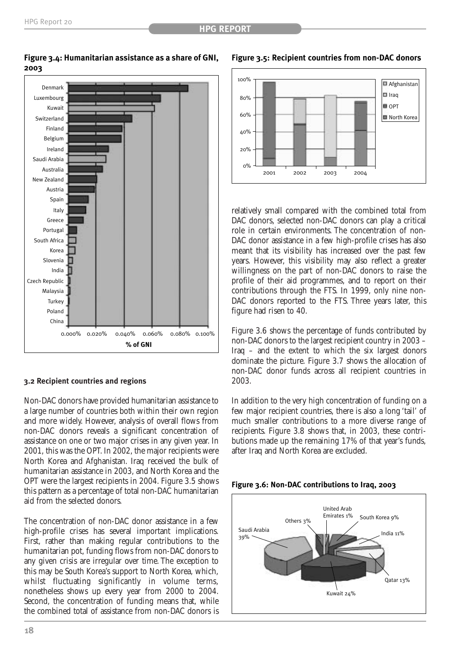100%

 $0\%$ 

![](_page_21_Figure_2.jpeg)

#### **Figure 3.4: Humanitarian assistance as a share of GNI, 2003**

#### 80%  $60%$ 40% 20% II Iraq OPT<sub>0</sub> North Korea

2001 2002 2003 2004

**Figure 3.5: Recipient countries from non-DAC donors**

Afghanistan

relatively small compared with the combined total from DAC donors, selected non-DAC donors can play a critical role in certain environments. The concentration of non-DAC donor assistance in a few high-profile crises has also meant that its visibility has increased over the past few years. However, this visibility may also reflect a greater willingness on the part of non-DAC donors to raise the profile of their aid programmes, and to report on their contributions through the FTS. In 1999, only nine non-DAC donors reported to the FTS. Three years later, this figure had risen to 40.

Figure 3.6 shows the percentage of funds contributed by non-DAC donors to the largest recipient country in 2003 – Iraq – and the extent to which the six largest donors dominate the picture. Figure 3.7 shows the allocation of non-DAC donor funds across all recipient countries in 2003.

In addition to the very high concentration of funding on a few major recipient countries, there is also a long 'tail' of much smaller contributions to a more diverse range of recipients. Figure 3.8 shows that, in 2003, these contributions made up the remaining 17% of that year's funds, after Iraq and North Korea are excluded.

![](_page_21_Figure_8.jpeg)

![](_page_21_Figure_9.jpeg)

#### **3.2 Recipient countries and regions**

Non-DAC donors have provided humanitarian assistance to a large number of countries both within their own region and more widely. However, analysis of overall flows from non-DAC donors reveals a significant concentration of assistance on one or two major crises in any given year. In 2001, this was the OPT. In 2002, the major recipients were North Korea and Afghanistan. Iraq received the bulk of humanitarian assistance in 2003, and North Korea and the OPT were the largest recipients in 2004. Figure 3.5 shows this pattern as a percentage of total non-DAC humanitarian aid from the selected donors.

The concentration of non-DAC donor assistance in a few high-profile crises has several important implications. First, rather than making regular contributions to the humanitarian pot, funding flows from non-DAC donors to any given crisis are irregular over time. The exception to this may be South Korea's support to North Korea, which, whilst fluctuating significantly in volume terms, nonetheless shows up every year from 2000 to 2004. Second, the concentration of funding means that, while the combined total of assistance from non-DAC donors is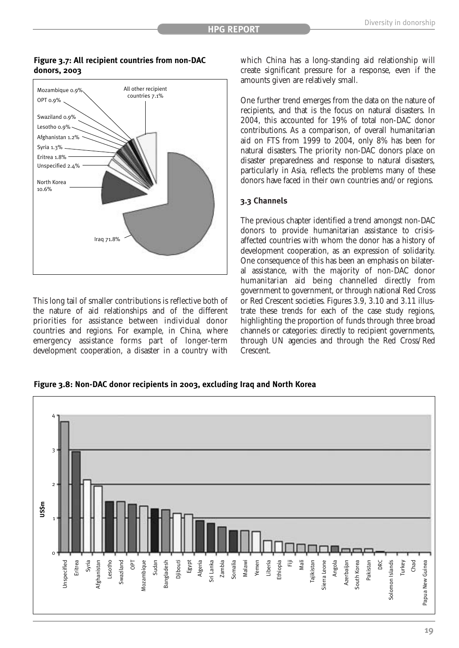![](_page_22_Figure_2.jpeg)

**Figure 3.7: All recipient countries from non-DAC donors, 2003**

This long tail of smaller contributions is reflective both of the nature of aid relationships and of the different priorities for assistance between individual donor countries and regions. For example, in China, where emergency assistance forms part of longer-term development cooperation, a disaster in a country with

which China has a long-standing aid relationship will create significant pressure for a response, even if the amounts given are relatively small.

One further trend emerges from the data on the nature of recipients, and that is the focus on natural disasters. In 2004, this accounted for 19% of total non-DAC donor contributions. As a comparison, of overall humanitarian aid on FTS from 1999 to 2004, only 8% has been for natural disasters. The priority non-DAC donors place on disaster preparedness and response to natural disasters, particularly in Asia, reflects the problems many of these donors have faced in their own countries and/or regions.

#### **3.3 Channels**

The previous chapter identified a trend amongst non-DAC donors to provide humanitarian assistance to crisisaffected countries with whom the donor has a history of development cooperation, as an expression of solidarity. One consequence of this has been an emphasis on bilateral assistance, with the majority of non-DAC donor humanitarian aid being channelled directly from government to government, or through national Red Cross or Red Crescent societies. Figures 3.9, 3.10 and 3.11 illustrate these trends for each of the case study regions, highlighting the proportion of funds through three broad channels or categories: directly to recipient governments, through UN agencies and through the Red Cross/Red Crescent.

**Figure 3.8: Non-DAC donor recipients in 2003, excluding Iraq and North Korea** 

![](_page_22_Figure_10.jpeg)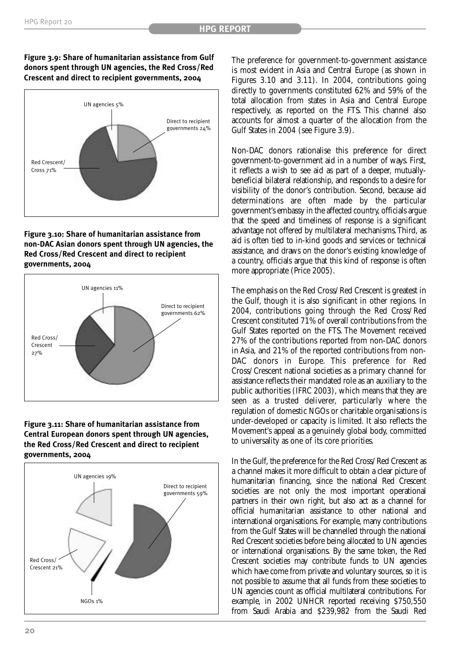![](_page_23_Figure_2.jpeg)

![](_page_23_Figure_3.jpeg)

#### **Figure 3.10: Share of humanitarian assistance from non-DAC Asian donors spent through UN agencies, the Red Cross/Red Crescent and direct to recipient governments, 2004**

![](_page_23_Figure_5.jpeg)

#### **Figure 3.11: Share of humanitarian assistance from Central European donors spent through UN agencies, the Red Cross/Red Crescent and direct to recipient governments, 2004**

![](_page_23_Figure_7.jpeg)

The preference for government-to-government assistance is most evident in Asia and Central Europe (as shown in Figures 3.10 and 3.11). In 2004, contributions going directly to governments constituted 62% and 59% of the total allocation from states in Asia and Central Europe respectively, as reported on the FTS. This channel also accounts for almost a quarter of the allocation from the Gulf States in 2004 (see Figure 3.9).

Non-DAC donors rationalise this preference for direct government-to-government aid in a number of ways. First, it reflects a wish to see aid as part of a deeper, mutuallybeneficial bilateral relationship, and responds to a desire for visibility of the donor's contribution. Second, because aid determinations are often made by the particular government's embassy in the affected country, officials argue that the speed and timeliness of response is a significant advantage not offered by multilateral mechanisms.Third, as aid is often tied to in-kind goods and services or technical assistance, and draws on the donor's existing knowledge of a country, officials argue that this kind of response is often more appropriate (Price 2005).

The emphasis on the Red Cross/Red Crescent is greatest in the Gulf, though it is also significant in other regions. In 2004, contributions going through the Red Cross/Red Crescent constituted 71% of overall contributions from the Gulf States reported on the FTS. The Movement received 27% of the contributions reported from non-DAC donors in Asia, and 21% of the reported contributions from non-DAC donors in Europe. This preference for Red Cross/Crescent national societies as a primary channel for assistance reflects their mandated role as an auxiliary to the public authorities (IFRC 2003), which means that they are seen as a trusted deliverer, particularly where the regulation of domestic NGOs or charitable organisations is under-developed or capacity is limited. It also reflects the Movement's appeal as a genuinely global body, committed to universality as one of its core priorities.

In the Gulf, the preference for the Red Cross/Red Crescent as a channel makes it more difficult to obtain a clear picture of humanitarian financing, since the national Red Crescent societies are not only the most important operational partners in their own right, but also act as a channel for official humanitarian assistance to other national and international organisations. For example, many contributions from the Gulf States will be channelled through the national Red Crescent societies before being allocated to UN agencies or international organisations. By the same token, the Red Crescent societies may contribute funds to UN agencies which have come from private and voluntary sources, so it is not possible to assume that all funds from these societies to UN agencies count as official multilateral contributions. For example, in 2002 UNHCR reported receiving \$750,550 from Saudi Arabia and \$239,982 from the Saudi Red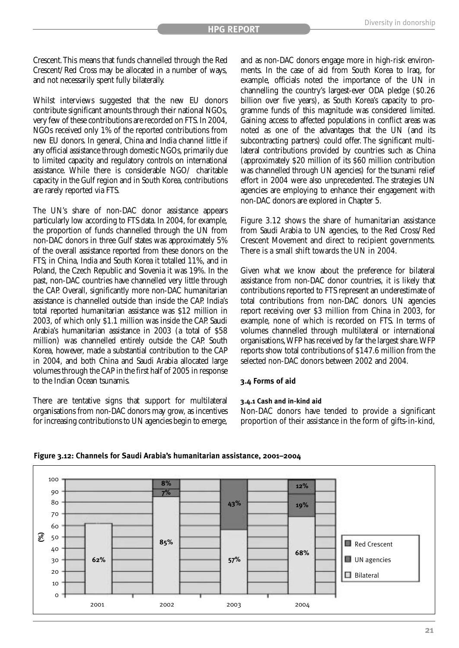Crescent.This means that funds channelled through the Red Crescent/Red Cross may be allocated in a number of ways, and not necessarily spent fully bilaterally.

Whilst interviews suggested that the new EU donors contribute significant amounts through their national NGOs, very few of these contributions are recorded on FTS. In 2004, NGOs received only 1% of the reported contributions from new EU donors. In general, China and India channel little if any official assistance through domestic NGOs, primarily due to limited capacity and regulatory controls on international assistance. While there is considerable NGO/ charitable capacity in the Gulf region and in South Korea, contributions are rarely reported via FTS.

The UN's share of non-DAC donor assistance appears particularly low according to FTS data. In 2004, for example, the proportion of funds channelled through the UN from non-DAC donors in three Gulf states was approximately 5% of the overall assistance reported from these donors on the FTS; in China, India and South Korea it totalled 11%, and in Poland, the Czech Republic and Slovenia it was 19%. In the past, non-DAC countries have channelled very little through the CAP. Overall, significantly more non-DAC humanitarian assistance is channelled outside than inside the CAP. India's total reported humanitarian assistance was \$12 million in 2003, of which only \$1.1 million was inside the CAP. Saudi Arabia's humanitarian assistance in 2003 (a total of \$58 million) was channelled entirely outside the CAP. South Korea, however, made a substantial contribution to the CAP in 2004, and both China and Saudi Arabia allocated large volumes through the CAP in the first half of 2005 in response to the Indian Ocean tsunamis.

There are tentative signs that support for multilateral organisations from non-DAC donors may grow, as incentives for increasing contributions to UN agencies begin to emerge, and as non-DAC donors engage more in high-risk environments. In the case of aid from South Korea to Iraq, for example, officials noted the importance of the UN in channelling the country's largest-ever ODA pledge (\$0.26 billion over five years), as South Korea's capacity to programme funds of this magnitude was considered limited. Gaining access to affected populations in conflict areas was noted as one of the advantages that the UN (and its subcontracting partners) could offer. The significant multilateral contributions provided by countries such as China (approximately \$20 million of its \$60 million contribution was channelled through UN agencies) for the tsunami relief effort in 2004 were also unprecedented. The strategies UN agencies are employing to enhance their engagement with non-DAC donors are explored in Chapter 5.

Figure 3.12 shows the share of humanitarian assistance from Saudi Arabia to UN agencies, to the Red Cross/Red Crescent Movement and direct to recipient governments. There is a small shift towards the UN in 2004.

Given what we know about the preference for bilateral assistance from non-DAC donor countries, it is likely that contributions reported to FTS represent an underestimate of total contributions from non-DAC donors. UN agencies report receiving over \$3 million from China in 2003, for example, none of which is recorded on FTS. In terms of volumes channelled through multilateral or international organisations,WFP has received by far the largest share.WFP reports show total contributions of \$147.6 million from the selected non-DAC donors between 2002 and 2004.

#### **3.4 Forms of aid**

#### **3.4.1 Cash and in-kind aid**

Non-DAC donors have tended to provide a significant proportion of their assistance in the form of gifts-in-kind,

![](_page_24_Figure_12.jpeg)

#### **Figure 3.12: Channels for Saudi Arabia's humanitarian assistance, 2001–2004**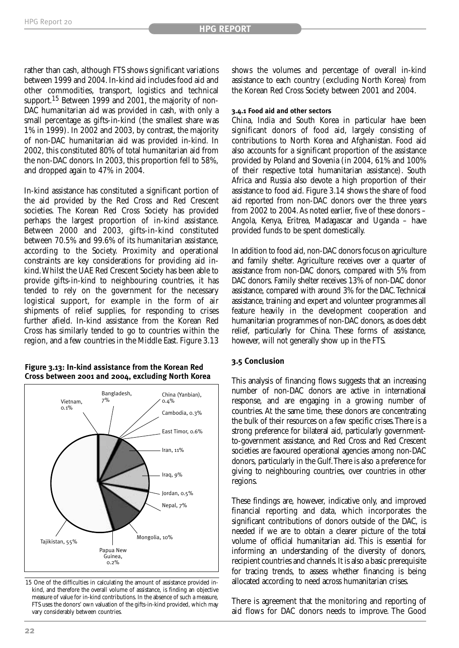rather than cash, although FTS shows significant variations between 1999 and 2004. In-kind aid includes food aid and other commodities, transport, logistics and technical support.<sup>15</sup> Between 1999 and 2001, the majority of non-DAC humanitarian aid was provided in cash, with only a small percentage as gifts-in-kind (the smallest share was 1% in 1999). In 2002 and 2003, by contrast, the majority of non-DAC humanitarian aid was provided in-kind. In 2002, this constituted 80% of total humanitarian aid from the non-DAC donors. In 2003, this proportion fell to 58%, and dropped again to 47% in 2004.

In-kind assistance has constituted a significant portion of the aid provided by the Red Cross and Red Crescent societies. The Korean Red Cross Society has provided perhaps the largest proportion of in-kind assistance. Between 2000 and 2003, gifts-in-kind constituted between 70.5% and 99.6% of its humanitarian assistance, according to the Society. Proximity and operational constraints are key considerations for providing aid inkind.Whilst the UAE Red Crescent Society has been able to provide gifts-in-kind to neighbouring countries, it has tended to rely on the government for the necessary logistical support, for example in the form of air shipments of relief supplies, for responding to crises further afield. In-kind assistance from the Korean Red Cross has similarly tended to go to countries within the region, and a few countries in the Middle East. Figure 3.13

#### **Figure 3.13: In-kind assistance from the Korean Red Cross between 2001 and 2004, excluding North Korea**

![](_page_25_Figure_5.jpeg)

15 One of the difficulties in calculating the amount of assistance provided inkind, and therefore the overall volume of assistance, is finding an objective measure of value for in-kind contributions. In the absence of such a measure, FTS uses the donors' own valuation of the gifts-in-kind provided, which may vary considerably between countries.

shows the volumes and percentage of overall in-kind assistance to each country (excluding North Korea) from the Korean Red Cross Society between 2001 and 2004.

#### **3.4.1 Food aid and other sectors**

China, India and South Korea in particular have been significant donors of food aid, largely consisting of contributions to North Korea and Afghanistan. Food aid also accounts for a significant proportion of the assistance provided by Poland and Slovenia (in 2004, 61% and 100% of their respective total humanitarian assistance). South Africa and Russia also devote a high proportion of their assistance to food aid. Figure 3.14 shows the share of food aid reported from non-DAC donors over the three years from 2002 to 2004. As noted earlier, five of these donors – Angola, Kenya, Eritrea, Madagascar and Uganda – have provided funds to be spent domestically.

In addition to food aid, non-DAC donors focus on agriculture and family shelter. Agriculture receives over a quarter of assistance from non-DAC donors, compared with 5% from DAC donors. Family shelter receives 13% of non-DAC donor assistance, compared with around 3% for the DAC.Technical assistance, training and expert and volunteer programmes all feature heavily in the development cooperation and humanitarian programmes of non-DAC donors, as does debt relief, particularly for China. These forms of assistance, however, will not generally show up in the FTS.

#### **3.5 Conclusion**

This analysis of financing flows suggests that an increasing number of non-DAC donors are active in international response, and are engaging in a growing number of countries. At the same time, these donors are concentrating the bulk of their resources on a few specific crises.There is a strong preference for bilateral aid, particularly governmentto-government assistance, and Red Cross and Red Crescent societies are favoured operational agencies among non-DAC donors, particularly in the Gulf.There is also a preference for giving to neighbouring countries, over countries in other regions.

These findings are, however, indicative only, and improved financial reporting and data, which incorporates the significant contributions of donors outside of the DAC, is needed if we are to obtain a clearer picture of the total volume of official humanitarian aid. This is essential for informing an understanding of the diversity of donors, recipient countries and channels. It is also a basic prerequisite for tracing trends, to assess whether financing is being allocated according to need across humanitarian crises.

There is agreement that the monitoring and reporting of aid flows for DAC donors needs to improve. The Good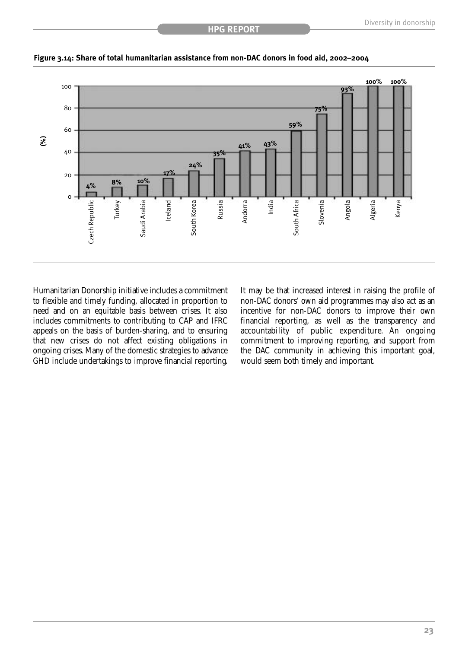![](_page_26_Figure_2.jpeg)

![](_page_26_Figure_3.jpeg)

Humanitarian Donorship initiative includes a commitment to flexible and timely funding, allocated in proportion to need and on an equitable basis between crises. It also includes commitments to contributing to CAP and IFRC appeals on the basis of burden-sharing, and to ensuring that new crises do not affect existing obligations in ongoing crises. Many of the domestic strategies to advance GHD include undertakings to improve financial reporting.

It may be that increased interest in raising the profile of non-DAC donors' own aid programmes may also act as an incentive for non-DAC donors to improve their own financial reporting, as well as the transparency and accountability of public expenditure. An ongoing commitment to improving reporting, and support from the DAC community in achieving this important goal, would seem both timely and important.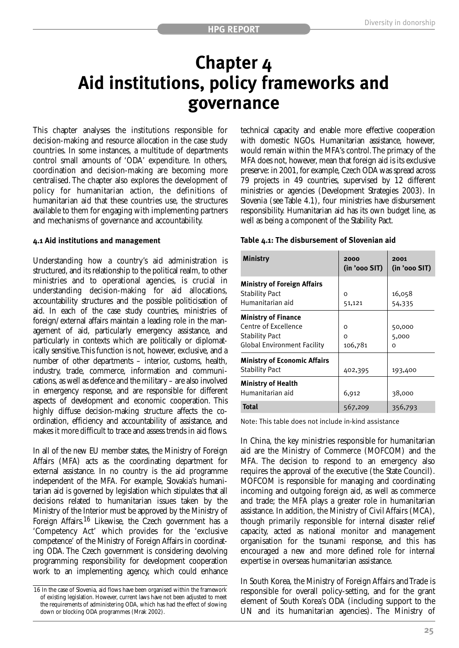### **Chapter 4 Aid institutions, policy frameworks and governance**

This chapter analyses the institutions responsible for decision-making and resource allocation in the case study countries. In some instances, a multitude of departments control small amounts of 'ODA' expenditure. In others, coordination and decision-making are becoming more centralised. The chapter also explores the development of policy for humanitarian action, the definitions of humanitarian aid that these countries use, the structures available to them for engaging with implementing partners and mechanisms of governance and accountability.

#### **4.1 Aid institutions and management**

Understanding how a country's aid administration is structured, and its relationship to the political realm, to other ministries and to operational agencies, is crucial in understanding decision-making for aid allocations, accountability structures and the possible politicisation of aid. In each of the case study countries, ministries of foreign/external affairs maintain a leading role in the management of aid, particularly emergency assistance, and particularly in contexts which are politically or diplomatically sensitive.This function is not, however, exclusive, and a number of other departments – interior, customs, health, industry, trade, commerce, information and communications, as well as defence and the military – are also involved in emergency response, and are responsible for different aspects of development and economic cooperation. This highly diffuse decision-making structure affects the coordination, efficiency and accountability of assistance, and makes it more difficult to trace and assess trends in aid flows.

In all of the new EU member states, the Ministry of Foreign Affairs (MFA) acts as the coordinating department for external assistance. In no country is the aid programme independent of the MFA. For example, Slovakia's humanitarian aid is governed by legislation which stipulates that all decisions related to humanitarian issues taken by the Ministry of the Interior must be approved by the Ministry of Foreign Affairs.<sup>16</sup> Likewise, the Czech government has a 'Competency Act' which provides for the 'exclusive competence' of the Ministry of Foreign Affairs in coordinating ODA. The Czech government is considering devolving programming responsibility for development cooperation work to an implementing agency, which could enhance technical capacity and enable more effective cooperation with domestic NGOs. Humanitarian assistance, however, would remain within the MFA's control.The primacy of the MFA does not, however, mean that foreign aid is its exclusive preserve: in 2001, for example, Czech ODA was spread across 79 projects in 49 countries, supervised by 12 different ministries or agencies (Development Strategies 2003). In Slovenia (see Table 4.1), four ministries have disbursement responsibility. Humanitarian aid has its own budget line, as well as being a component of the Stability Pact.

#### **Table 4.1: The disbursement of Slovenian aid**

| <b>Ministry</b>                                                                                                   | 2000<br>(in 'ooo SIT) | 2001<br>(in 'ooo SIT) |
|-------------------------------------------------------------------------------------------------------------------|-----------------------|-----------------------|
| <b>Ministry of Foreign Affairs</b><br><b>Stability Pact</b><br>Humanitarian aid                                   | 0<br>51,121           | 16,058<br>54,335      |
| <b>Ministry of Finance</b><br>Centre of Excellence<br><b>Stability Pact</b><br><b>Global Environment Facility</b> | 0<br>O<br>106,781     | 50,000<br>5,000<br>ο  |
| <b>Ministry of Economic Affairs</b><br><b>Stability Pact</b>                                                      | 402,395               | 193,400               |
| <b>Ministry of Health</b><br>Humanitarian aid                                                                     | 6,912                 | 38,000                |
| <b>Total</b>                                                                                                      | 567,209               | 356,793               |

Note: This table does not include in-kind assistance

In China, the key ministries responsible for humanitarian aid are the Ministry of Commerce (MOFCOM) and the MFA. The decision to respond to an emergency also requires the approval of the executive (the State Council). MOFCOM is responsible for managing and coordinating incoming and outgoing foreign aid, as well as commerce and trade; the MFA plays a greater role in humanitarian assistance. In addition, the Ministry of Civil Affairs (MCA), though primarily responsible for internal disaster relief capacity, acted as national monitor and management organisation for the tsunami response, and this has encouraged a new and more defined role for internal expertise in overseas humanitarian assistance.

In South Korea, the Ministry of Foreign Affairs and Trade is responsible for overall policy-setting, and for the grant element of South Korea's ODA (including support to the UN and its humanitarian agencies). The Ministry of

<sup>16</sup> In the case of Slovenia, aid flows have been organised within the framework of existing legislation. However, current laws have not been adjusted to meet the requirements of administering ODA, which has had the effect of slowing down or blocking ODA programmes (Mrak 2002).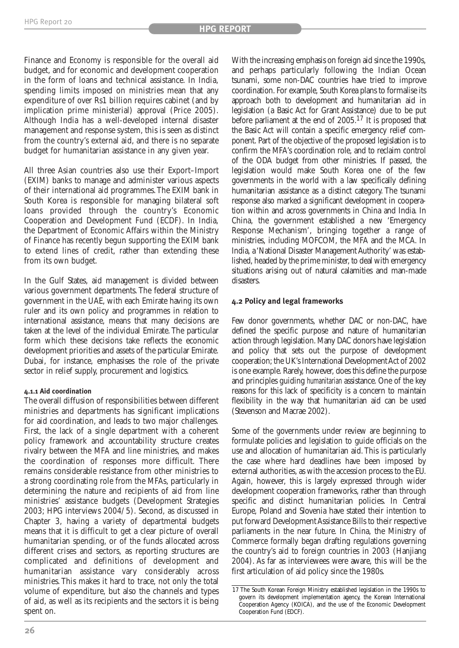Finance and Economy is responsible for the overall aid budget, and for economic and development cooperation in the form of loans and technical assistance. In India, spending limits imposed on ministries mean that any expenditure of over Rs1 billion requires cabinet (and by implication prime ministerial) approval (Price 2005). Although India has a well-developed internal disaster management and response system, this is seen as distinct from the country's external aid, and there is no separate budget for humanitarian assistance in any given year.

All three Asian countries also use their Export–Import (EXIM) banks to manage and administer various aspects of their international aid programmes. The EXIM bank in South Korea is responsible for managing bilateral soft loans provided through the country's Economic Cooperation and Development Fund (ECDF). In India, the Department of Economic Affairs within the Ministry of Finance has recently begun supporting the EXIM bank to extend lines of credit, rather than extending these from its own budget.

In the Gulf States, aid management is divided between various government departments. The federal structure of government in the UAE, with each Emirate having its own ruler and its own policy and programmes in relation to international assistance, means that many decisions are taken at the level of the individual Emirate. The particular form which these decisions take reflects the economic development priorities and assets of the particular Emirate. Dubai, for instance, emphasises the role of the private sector in relief supply, procurement and logistics.

#### **4.1.1 Aid coordination**

The overall diffusion of responsibilities between different ministries and departments has significant implications for aid coordination, and leads to two major challenges. First, the lack of a single department with a coherent policy framework and accountability structure creates rivalry between the MFA and line ministries, and makes the coordination of responses more difficult. There remains considerable resistance from other ministries to a strong coordinating role from the MFAs, particularly in determining the nature and recipients of aid from line ministries' assistance budgets (Development Strategies 2003; HPG interviews 2004/5). Second, as discussed in Chapter 3, having a variety of departmental budgets means that it is difficult to get a clear picture of overall humanitarian spending, or of the funds allocated across different crises and sectors, as reporting structures are complicated and definitions of development and humanitarian assistance vary considerably across ministries. This makes it hard to trace, not only the total volume of expenditure, but also the channels and types of aid, as well as its recipients and the sectors it is being spent on.

With the increasing emphasis on foreign aid since the 1990s, and perhaps particularly following the Indian Ocean tsunami, some non-DAC countries have tried to improve coordination. For example, South Korea plans to formalise its approach both to development and humanitarian aid in legislation (a Basic Act for Grant Assistance) due to be put before parliament at the end of 2005.17 It is proposed that the Basic Act will contain a specific emergency relief component. Part of the objective of the proposed legislation is to confirm the MFA's coordination role, and to reclaim control of the ODA budget from other ministries. If passed, the legislation would make South Korea one of the few governments in the world with a law specifically defining humanitarian assistance as a distinct category. The tsunami response also marked a significant development in cooperation within and across governments in China and India. In China, the government established a new 'Emergency Response Mechanism', bringing together a range of ministries, including MOFCOM, the MFA and the MCA. In India, a 'National Disaster Management Authority' was established, headed by the prime minister, to deal with emergency situations arising out of natural calamities and man-made disasters.

#### **4.2 Policy and legal frameworks**

Few donor governments, whether DAC or non-DAC, have defined the specific purpose and nature of humanitarian action through legislation. Many DAC donors have legislation and policy that sets out the purpose of development cooperation; the UK's International Development Act of 2002 is one example. Rarely, however, does this define the purpose and principles guiding *humanitarian* assistance. One of the key reasons for this lack of specificity is a concern to maintain flexibility in the way that humanitarian aid can be used (Stevenson and Macrae 2002).

Some of the governments under review are beginning to formulate policies and legislation to guide officials on the use and allocation of humanitarian aid. This is particularly the case where hard deadlines have been imposed by external authorities, as with the accession process to the EU. Again, however, this is largely expressed through wider development cooperation frameworks, rather than through specific and distinct humanitarian policies. In Central Europe, Poland and Slovenia have stated their intention to put forward Development Assistance Bills to their respective parliaments in the near future. In China, the Ministry of Commerce formally began drafting regulations governing the country's aid to foreign countries in 2003 (Hanjiang 2004). As far as interviewees were aware, this will be the first articulation of aid policy since the 1980s.

<sup>17</sup> The South Korean Foreign Ministry established legislation in the 1990s to govern its development implementation agency, the Korean International Cooperation Agency (KOICA), and the use of the Economic Development Cooperation Fund (EDCF).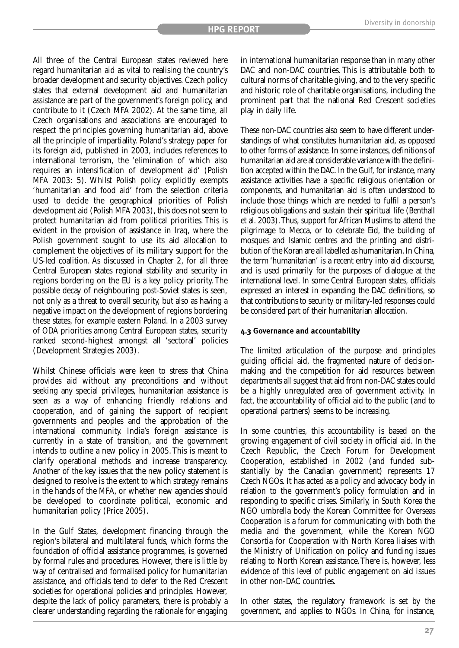All three of the Central European states reviewed here regard humanitarian aid as vital to realising the country's broader development and security objectives. Czech policy states that external development aid and humanitarian assistance are part of the government's foreign policy, and contribute to it (Czech MFA 2002). At the same time, all Czech organisations and associations are encouraged to respect the principles governing humanitarian aid, above all the principle of impartiality. Poland's strategy paper for its foreign aid, published in 2003, includes references to international terrorism, the 'elimination of which also requires an intensification of development aid' (Polish MFA 2003: 5). Whilst Polish policy explicitly exempts 'humanitarian and food aid' from the selection criteria used to decide the geographical priorities of Polish development aid (Polish MFA 2003), this does not seem to protect humanitarian aid from political priorities. This is evident in the provision of assistance in Iraq, where the Polish government sought to use its aid allocation to complement the objectives of its military support for the US-led coalition. As discussed in Chapter 2, for all three Central European states regional stability and security in regions bordering on the EU is a key policy priority. The possible decay of neighbouring post-Soviet states is seen, not only as a threat to overall security, but also as having a negative impact on the development of regions bordering these states, for example eastern Poland. In a 2003 survey of ODA priorities among Central European states, security ranked second-highest amongst all 'sectoral' policies (Development Strategies 2003).

Whilst Chinese officials were keen to stress that China provides aid without any preconditions and without seeking any special privileges, humanitarian assistance is seen as a way of enhancing friendly relations and cooperation, and of gaining the support of recipient governments and peoples and the approbation of the international community. India's foreign assistance is currently in a state of transition, and the government intends to outline a new policy in 2005. This is meant to clarify operational methods and increase transparency. Another of the key issues that the new policy statement is designed to resolve is the extent to which strategy remains in the hands of the MFA, or whether new agencies should be developed to coordinate political, economic and humanitarian policy (Price 2005).

In the Gulf States, development financing through the region's bilateral and multilateral funds, which forms the foundation of official assistance programmes, is governed by formal rules and procedures. However, there is little by way of centralised and formalised policy for humanitarian assistance, and officials tend to defer to the Red Crescent societies for operational policies and principles. However, despite the lack of policy parameters, there is probably a clearer understanding regarding the rationale for engaging in international humanitarian response than in many other DAC and non-DAC countries. This is attributable both to cultural norms of charitable giving, and to the very specific and historic role of charitable organisations, including the prominent part that the national Red Crescent societies play in daily life.

These non-DAC countries also seem to have different understandings of what constitutes humanitarian aid, as opposed to other forms of assistance. In some instances, definitions of humanitarian aid are at considerable variance with the definition accepted within the DAC. In the Gulf, for instance, many assistance activities have a specific religious orientation or components, and humanitarian aid is often understood to include those things which are needed to fulfil a person's religious obligations and sustain their spiritual life (Benthall et al. 2003).Thus, support for African Muslims to attend the pilgrimage to Mecca, or to celebrate Eid, the building of mosques and Islamic centres and the printing and distribution of the Koran are all labelled as humanitarian. In China, the term 'humanitarian' is a recent entry into aid discourse, and is used primarily for the purposes of dialogue at the international level. In some Central European states, officials expressed an interest in expanding the DAC definitions, so that contributions to security or military-led responses could be considered part of their humanitarian allocation.

#### **4.3 Governance and accountability**

The limited articulation of the purpose and principles guiding official aid, the fragmented nature of decisionmaking and the competition for aid resources between departments all suggest that aid from non-DAC states could be a highly unregulated area of government activity. In fact, the accountability of official aid to the public (and to operational partners) seems to be increasing.

In some countries, this accountability is based on the growing engagement of civil society in official aid. In the Czech Republic, the Czech Forum for Development Cooperation, established in 2002 (and funded substantially by the Canadian government) represents 17 Czech NGOs. It has acted as a policy and advocacy body in relation to the government's policy formulation and in responding to specific crises. Similarly, in South Korea the NGO umbrella body the Korean Committee for Overseas Cooperation is a forum for communicating with both the media and the government, while the Korean NGO Consortia for Cooperation with North Korea liaises with the Ministry of Unification on policy and funding issues relating to North Korean assistance. There is, however, less evidence of this level of public engagement on aid issues in other non-DAC countries.

In other states, the regulatory framework is set by the government, and applies to NGOs. In China, for instance,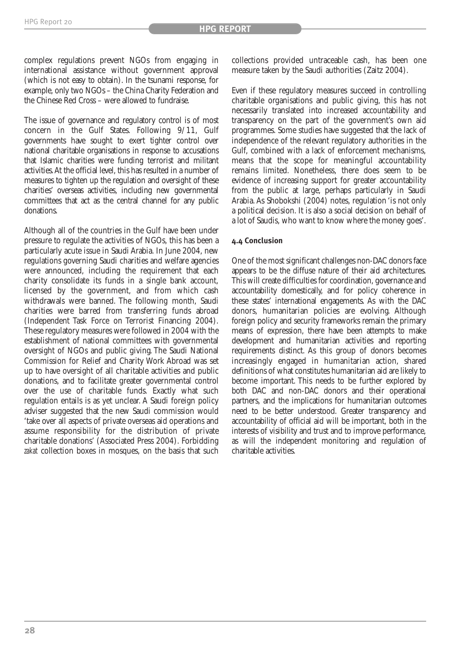complex regulations prevent NGOs from engaging in international assistance without government approval (which is not easy to obtain). In the tsunami response, for example, only two NGOs – the China Charity Federation and the Chinese Red Cross – were allowed to fundraise.

The issue of governance and regulatory control is of most concern in the Gulf States. Following 9/11, Gulf governments have sought to exert tighter control over national charitable organisations in response to accusations that Islamic charities were funding terrorist and militant activities.At the official level, this has resulted in a number of measures to tighten up the regulation and oversight of these charities' overseas activities, including new governmental committees that act as the central channel for any public donations.

Although all of the countries in the Gulf have been under pressure to regulate the activities of NGOs, this has been a particularly acute issue in Saudi Arabia. In June 2004, new regulations governing Saudi charities and welfare agencies were announced, including the requirement that each charity consolidate its funds in a single bank account, licensed by the government, and from which cash withdrawals were banned. The following month, Saudi charities were barred from transferring funds abroad (Independent Task Force on Terrorist Financing 2004). These regulatory measures were followed in 2004 with the establishment of national committees with governmental oversight of NGOs and public giving. The Saudi National Commission for Relief and Charity Work Abroad was set up to have oversight of all charitable activities and public donations, and to facilitate greater governmental control over the use of charitable funds. Exactly what such regulation entails is as yet unclear. A Saudi foreign policy adviser suggested that the new Saudi commission would 'take over all aspects of private overseas aid operations and assume responsibility for the distribution of private charitable donations' (Associated Press 2004). Forbidding *zakat* collection boxes in mosques, on the basis that such collections provided untraceable cash, has been one measure taken by the Saudi authorities (Zaitz 2004).

Even if these regulatory measures succeed in controlling charitable organisations and public giving, this has not necessarily translated into increased accountability and transparency on the part of the government's own aid programmes. Some studies have suggested that the lack of independence of the relevant regulatory authorities in the Gulf, combined with a lack of enforcement mechanisms, means that the scope for meaningful accountability remains limited. Nonetheless, there does seem to be evidence of increasing support for greater accountability from the public at large, perhaps particularly in Saudi Arabia. As Shobokshi (2004) notes, regulation 'is not only a political decision. It is also a social decision on behalf of a lot of Saudis, who want to know where the money goes'.

#### **4.4 Conclusion**

One of the most significant challenges non-DAC donors face appears to be the diffuse nature of their aid architectures. This will create difficulties for coordination, governance and accountability domestically, and for policy coherence in these states' international engagements. As with the DAC donors, humanitarian policies are evolving. Although foreign policy and security frameworks remain the primary means of expression, there have been attempts to make development and humanitarian activities and reporting requirements distinct. As this group of donors becomes increasingly engaged in humanitarian action, shared definitions of what constitutes humanitarian aid are likely to become important. This needs to be further explored by both DAC and non-DAC donors and their operational partners, and the implications for humanitarian outcomes need to be better understood. Greater transparency and accountability of official aid will be important, both in the interests of visibility and trust and to improve performance, as will the independent monitoring and regulation of charitable activities.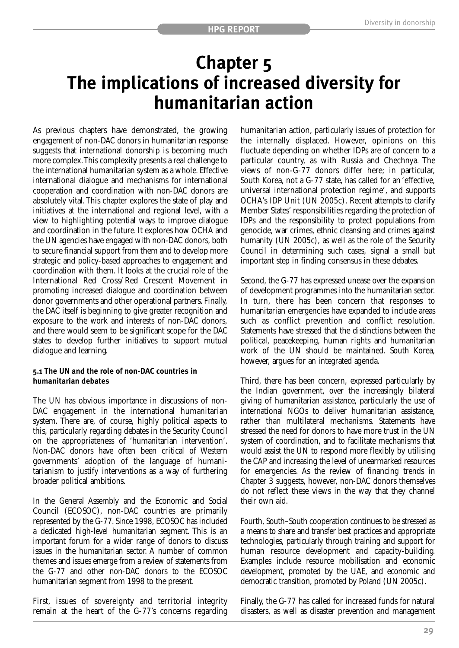### **Chapter 5 The implications of increased diversity for humanitarian action**

As previous chapters have demonstrated, the growing engagement of non-DAC donors in humanitarian response suggests that international donorship is becoming much more complex.This complexity presents a real challenge to the international humanitarian system as a whole. Effective international dialogue and mechanisms for international cooperation and coordination with non-DAC donors are absolutely vital. This chapter explores the state of play and initiatives at the international and regional level, with a view to highlighting potential ways to improve dialogue and coordination in the future. It explores how OCHA and the UN agencies have engaged with non-DAC donors, both to secure financial support from them and to develop more strategic and policy-based approaches to engagement and coordination with them. It looks at the crucial role of the International Red Cross/Red Crescent Movement in promoting increased dialogue and coordination between donor governments and other operational partners. Finally, the DAC itself is beginning to give greater recognition and exposure to the work and interests of non-DAC donors, and there would seem to be significant scope for the DAC states to develop further initiatives to support mutual dialogue and learning.

#### **5.1 The UN and the role of non-DAC countries in humanitarian debates**

The UN has obvious importance in discussions of non-DAC engagement in the international humanitarian system. There are, of course, highly political aspects to this, particularly regarding debates in the Security Council on the appropriateness of 'humanitarian intervention'. Non-DAC donors have often been critical of Western governments' adoption of the language of humanitarianism to justify interventions as a way of furthering broader political ambitions.

In the General Assembly and the Economic and Social Council (ECOSOC), non-DAC countries are primarily represented by the G-77. Since 1998, ECOSOC has included a dedicated high-level humanitarian segment. This is an important forum for a wider range of donors to discuss issues in the humanitarian sector. A number of common themes and issues emerge from a review of statements from the G-77 and other non-DAC donors to the ECOSOC humanitarian segment from 1998 to the present.

First, issues of sovereignty and territorial integrity remain at the heart of the G-77's concerns regarding humanitarian action, particularly issues of protection for the internally displaced. However, opinions on this fluctuate depending on whether IDPs are of concern to a particular country, as with Russia and Chechnya. The views of non-G-77 donors differ here; in particular, South Korea, not a G-77 state, has called for an 'effective, universal international protection regime', and supports OCHA's IDP Unit (UN 2005c). Recent attempts to clarify Member States' responsibilities regarding the protection of IDPs and the responsibility to protect populations from genocide, war crimes, ethnic cleansing and crimes against humanity (UN 2005c), as well as the role of the Security Council in determining such cases, signal a small but important step in finding consensus in these debates.

Second, the G-77 has expressed unease over the expansion of development programmes into the humanitarian sector. In turn, there has been concern that responses to humanitarian emergencies have expanded to include areas such as conflict prevention and conflict resolution. Statements have stressed that the distinctions between the political, peacekeeping, human rights and humanitarian work of the UN should be maintained. South Korea, however, argues for an integrated agenda.

Third, there has been concern, expressed particularly by the Indian government, over the increasingly bilateral giving of humanitarian assistance, particularly the use of international NGOs to deliver humanitarian assistance, rather than multilateral mechanisms. Statements have stressed the need for donors to have more trust in the UN system of coordination, and to facilitate mechanisms that would assist the UN to respond more flexibly by utilising the CAP and increasing the level of unearmarked resources for emergencies. As the review of financing trends in Chapter 3 suggests, however, non-DAC donors themselves do not reflect these views in the way that they channel their own aid.

Fourth, South–South cooperation continues to be stressed as a means to share and transfer best practices and appropriate technologies, particularly through training and support for human resource development and capacity-building. Examples include resource mobilisation and economic development, promoted by the UAE, and economic and democratic transition, promoted by Poland (UN 2005c).

Finally, the G-77 has called for increased funds for natural disasters, as well as disaster prevention and management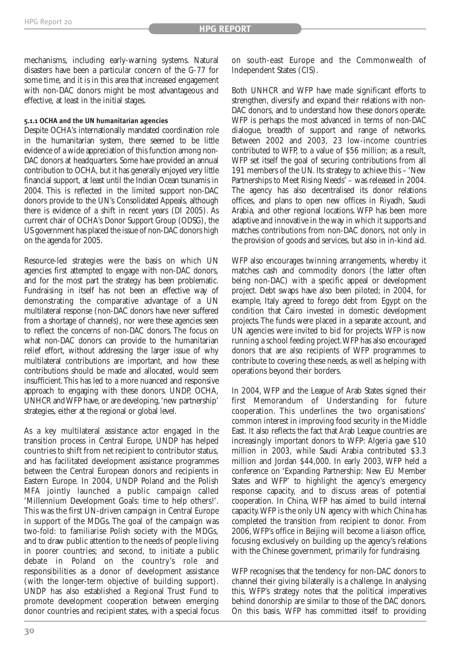mechanisms, including early-warning systems. Natural disasters have been a particular concern of the G-77 for some time, and it is in this area that increased engagement with non-DAC donors might be most advantageous and effective, at least in the initial stages.

#### **5.1.1 OCHA and the UN humanitarian agencies**

Despite OCHA's internationally mandated coordination role in the humanitarian system, there seemed to be little evidence of a wide appreciation of this function among non-DAC donors at headquarters. Some have provided an annual contribution to OCHA, but it has generally enjoyed very little financial support, at least until the Indian Ocean tsunamis in 2004. This is reflected in the limited support non-DAC donors provide to the UN's Consolidated Appeals, although there is evidence of a shift in recent years (DI 2005). As current chair of OCHA's Donor Support Group (ODSG), the US government has placed the issue of non-DAC donors high on the agenda for 2005.

Resource-led strategies were the basis on which UN agencies first attempted to engage with non-DAC donors, and for the most part the strategy has been problematic. Fundraising in itself has not been an effective way of demonstrating the comparative advantage of a UN multilateral response (non-DAC donors have never suffered from a shortage of channels), nor were these agencies seen to reflect the concerns of non-DAC donors. The focus on what non-DAC donors can provide to the humanitarian relief effort, without addressing the larger issue of why multilateral contributions are important, and how these contributions should be made and allocated, would seem insufficient.This has led to a more nuanced and responsive approach to engaging with these donors. UNDP, OCHA, UNHCR and WFP have, or are developing,'new partnership' strategies, either at the regional or global level.

As a key multilateral assistance actor engaged in the transition process in Central Europe, UNDP has helped countries to shift from net recipient to contributor status, and has facilitated development assistance programmes between the Central European donors and recipients in Eastern Europe. In 2004, UNDP Poland and the Polish MFA jointly launched a public campaign called 'Millennium Development Goals: time to help others!'. This was the first UN-driven campaign in Central Europe in support of the MDGs. The goal of the campaign was two-fold: to familiarise Polish society with the MDGs, and to draw public attention to the needs of people living in poorer countries; and second, to initiate a public debate in Poland on the country's role and responsibilities as a donor of development assistance (with the longer-term objective of building support). UNDP has also established a Regional Trust Fund to promote development cooperation between emerging donor countries and recipient states, with a special focus

on south-east Europe and the Commonwealth of Independent States (CIS).

Both UNHCR and WFP have made significant efforts to strengthen, diversify and expand their relations with non-DAC donors, and to understand how these donors operate. WFP is perhaps the most advanced in terms of non-DAC dialogue, breadth of support and range of networks. Between 2002 and 2003, 23 low-income countries contributed to WFP, to a value of \$56 million; as a result, WFP set itself the goal of securing contributions from all 191 members of the UN. Its strategy to achieve this – 'New Partnerships to Meet Rising Needs' – was released in 2004. The agency has also decentralised its donor relations offices, and plans to open new offices in Riyadh, Saudi Arabia, and other regional locations. WFP has been more adaptive and innovative in the way in which it supports and matches contributions from non-DAC donors, not only in the provision of goods and services, but also in in-kind aid.

WFP also encourages twinning arrangements, whereby it matches cash and commodity donors (the latter often being non-DAC) with a specific appeal or development project. Debt swaps have also been piloted; in 2004, for example, Italy agreed to forego debt from Egypt on the condition that Cairo invested in domestic development projects. The funds were placed in a separate account, and UN agencies were invited to bid for projects. WFP is now running a school feeding project.WFP has also encouraged donors that are also recipients of WFP programmes to contribute to covering these needs, as well as helping with operations beyond their borders.

In 2004, WFP and the League of Arab States signed their first Memorandum of Understanding for future cooperation. This underlines the two organisations' common interest in improving food security in the Middle East. It also reflects the fact that Arab League countries are increasingly important donors to WFP: Algeria gave \$10 million in 2003, while Saudi Arabia contributed \$3.3 million and Jordan \$44,000. In early 2003, WFP held a conference on 'Expanding Partnership: New EU Member States and WFP' to highlight the agency's emergency response capacity, and to discuss areas of potential cooperation. In China, WFP has aimed to build internal capacity.WFP is the only UN agency with which China has completed the transition from recipient to donor. From 2006, WFP's office in Beijing will become a liaison office, focusing exclusively on building up the agency's relations with the Chinese government, primarily for fundraising.

WFP recognises that the tendency for non-DAC donors to channel their giving bilaterally is a challenge. In analysing this, WFP's strategy notes that the political imperatives behind donorship are similar to those of the DAC donors. On this basis, WFP has committed itself to providing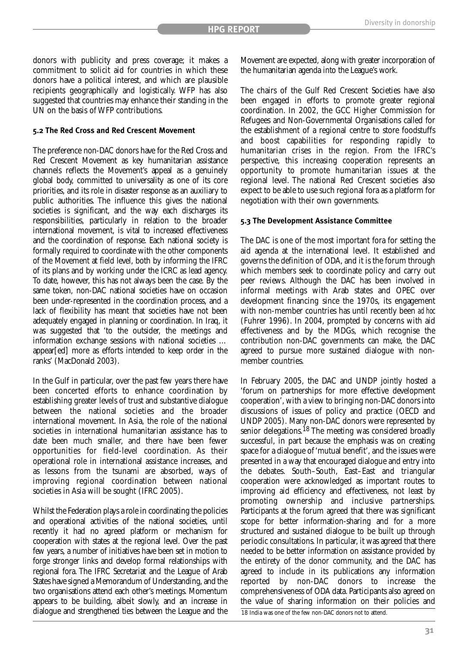donors with publicity and press coverage; it makes a commitment to solicit aid for countries in which these donors have a political interest, and which are plausible recipients geographically and logistically. WFP has also suggested that countries may enhance their standing in the UN on the basis of WFP contributions.

#### **5.2 The Red Cross and Red Crescent Movement**

The preference non-DAC donors have for the Red Cross and Red Crescent Movement as key humanitarian assistance channels reflects the Movement's appeal as a genuinely global body, committed to universality as one of its core priorities, and its role in disaster response as an auxiliary to public authorities. The influence this gives the national societies is significant, and the way each discharges its responsibilities, particularly in relation to the broader international movement, is vital to increased effectiveness and the coordination of response. Each national society is formally required to coordinate with the other components of the Movement at field level, both by informing the IFRC of its plans and by working under the ICRC as lead agency. To date, however, this has not always been the case. By the same token, non-DAC national societies have on occasion been under-represented in the coordination process, and a lack of flexibility has meant that societies have not been adequately engaged in planning or coordination. In Iraq, it was suggested that 'to the outsider, the meetings and information exchange sessions with national societies … appear[ed] more as efforts intended to keep order in the ranks' (MacDonald 2003).

In the Gulf in particular, over the past few years there have been concerted efforts to enhance coordination by establishing greater levels of trust and substantive dialogue between the national societies and the broader international movement. In Asia, the role of the national societies in international humanitarian assistance has to date been much smaller, and there have been fewer opportunities for field-level coordination. As their operational role in international assistance increases, and as lessons from the tsunami are absorbed, ways of improving regional coordination between national societies in Asia will be sought (IFRC 2005).

Whilst the Federation plays a role in coordinating the policies and operational activities of the national societies, until recently it had no agreed platform or mechanism for cooperation with states at the regional level. Over the past few years, a number of initiatives have been set in motion to forge stronger links and develop formal relationships with regional fora. The IFRC Secretariat and the League of Arab States have signed a Memorandum of Understanding, and the two organisations attend each other's meetings. Momentum appears to be building, albeit slowly, and an increase in dialogue and strengthened ties between the League and the Movement are expected, along with greater incorporation of the humanitarian agenda into the League's work.

The chairs of the Gulf Red Crescent Societies have also been engaged in efforts to promote greater regional coordination. In 2002, the GCC Higher Commission for Refugees and Non-Governmental Organisations called for the establishment of a regional centre to store foodstuffs and boost capabilities for responding rapidly to humanitarian crises in the region. From the IFRC's perspective, this increasing cooperation represents an opportunity to promote humanitarian issues at the regional level. The national Red Crescent societies also expect to be able to use such regional fora as a platform for negotiation with their own governments.

#### **5.3 The Development Assistance Committee**

The DAC is one of the most important fora for setting the aid agenda at the international level. It established and governs the definition of ODA, and it is the forum through which members seek to coordinate policy and carry out peer reviews. Although the DAC has been involved in informal meetings with Arab states and OPEC over development financing since the 1970s, its engagement with non-member countries has until recently been *ad hoc* (Fuhrer 1996). In 2004, prompted by concerns with aid effectiveness and by the MDGs, which recognise the contribution non-DAC governments can make, the DAC agreed to pursue more sustained dialogue with nonmember countries.

In February 2005, the DAC and UNDP jointly hosted a 'forum on partnerships for more effective development cooperation', with a view to bringing non-DAC donors into discussions of issues of policy and practice (OECD and UNDP 2005). Many non-DAC donors were represented by senior delegations.<sup>18</sup> The meeting was considered broadly successful, in part because the emphasis was on creating space for a dialogue of 'mutual benefit', and the issues were presented in a way that encouraged dialogue and entry into the debates. South–South, East–East and triangular cooperation were acknowledged as important routes to improving aid efficiency and effectiveness, not least by promoting ownership and inclusive partnerships. Participants at the forum agreed that there was significant scope for better information-sharing and for a more structured and sustained dialogue to be built up through periodic consultations. In particular, it was agreed that there needed to be better information on assistance provided by the entirety of the donor community, and the DAC has agreed to include in its publications any information reported by non-DAC donors to increase the comprehensiveness of ODA data. Participants also agreed on the value of sharing information on their policies and

18 India was one of the few non-DAC donors not to attend.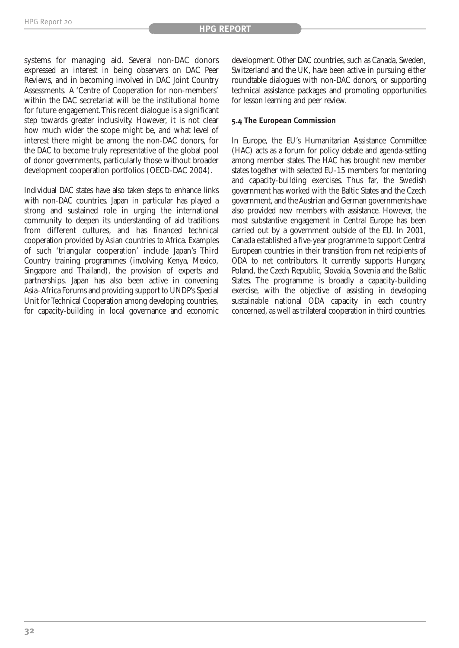systems for managing aid. Several non-DAC donors expressed an interest in being observers on DAC Peer Reviews, and in becoming involved in DAC Joint Country Assessments. A 'Centre of Cooperation for non-members' within the DAC secretariat will be the institutional home for future engagement.This recent dialogue is a significant step towards greater inclusivity. However, it is not clear how much wider the scope might be, and what level of interest there might be among the non-DAC donors, for the DAC to become truly representative of the global pool of donor governments, particularly those without broader development cooperation portfolios (OECD-DAC 2004).

Individual DAC states have also taken steps to enhance links with non-DAC countries. Japan in particular has played a strong and sustained role in urging the international community to deepen its understanding of aid traditions from different cultures, and has financed technical cooperation provided by Asian countries to Africa. Examples of such 'triangular cooperation' include Japan's Third Country training programmes (involving Kenya, Mexico, Singapore and Thailand), the provision of experts and partnerships. Japan has also been active in convening Asia–Africa Forums and providing support to UNDP's Special Unit for Technical Cooperation among developing countries, for capacity-building in local governance and economic

development. Other DAC countries, such as Canada, Sweden, Switzerland and the UK, have been active in pursuing either roundtable dialogues with non-DAC donors, or supporting technical assistance packages and promoting opportunities for lesson learning and peer review.

#### **5.4 The European Commission**

In Europe, the EU's Humanitarian Assistance Committee (HAC) acts as a forum for policy debate and agenda-setting among member states. The HAC has brought new member states together with selected EU-15 members for mentoring and capacity-building exercises. Thus far, the Swedish government has worked with the Baltic States and the Czech government, and the Austrian and German governments have also provided new members with assistance. However, the most substantive engagement in Central Europe has been carried out by a government outside of the EU. In 2001, Canada established a five-year programme to support Central European countries in their transition from net recipients of ODA to net contributors. It currently supports Hungary, Poland, the Czech Republic, Slovakia, Slovenia and the Baltic States. The programme is broadly a capacity-building exercise, with the objective of assisting in developing sustainable national ODA capacity in each country concerned, as well as trilateral cooperation in third countries.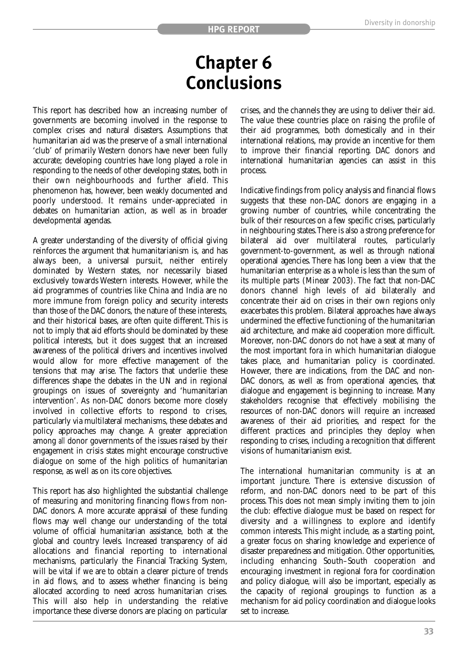### **Chapter 6 Conclusions**

This report has described how an increasing number of governments are becoming involved in the response to complex crises and natural disasters. Assumptions that humanitarian aid was the preserve of a small international 'club' of primarily Western donors have never been fully accurate; developing countries have long played a role in responding to the needs of other developing states, both in their own neighbourhoods and further afield. This phenomenon has, however, been weakly documented and poorly understood. It remains under-appreciated in debates on humanitarian action, as well as in broader developmental agendas.

A greater understanding of the diversity of official giving reinforces the argument that humanitarianism is, and has always been, a universal pursuit, neither entirely dominated by Western states, nor necessarily biased exclusively towards Western interests. However, while the aid programmes of countries like China and India are no more immune from foreign policy and security interests than those of the DAC donors, the nature of these interests, and their historical bases, are often quite different. This is not to imply that aid efforts should be dominated by these political interests, but it does suggest that an increased awareness of the political drivers and incentives involved would allow for more effective management of the tensions that may arise. The factors that underlie these differences shape the debates in the UN and in regional groupings on issues of sovereignty and 'humanitarian intervention'. As non-DAC donors become more closely involved in collective efforts to respond to crises, particularly via multilateral mechanisms, these debates and policy approaches may change. A greater appreciation among *all* donor governments of the issues raised by their engagement in crisis states might encourage constructive dialogue on some of the high politics of humanitarian response, as well as on its core objectives.

This report has also highlighted the substantial challenge of measuring and monitoring financing flows from non-DAC donors. A more accurate appraisal of these funding flows may well change our understanding of the total volume of official humanitarian assistance, both at the global and country levels. Increased transparency of aid allocations and financial reporting to international mechanisms, particularly the Financial Tracking System, will be vital if we are to obtain a clearer picture of trends in aid flows, and to assess whether financing is being allocated according to need across humanitarian crises. This will also help in understanding the relative importance these diverse donors are placing on particular crises, and the channels they are using to deliver their aid. The value these countries place on raising the profile of their aid programmes, both domestically and in their international relations, may provide an incentive for them to improve their financial reporting. DAC donors and international humanitarian agencies can assist in this process.

Indicative findings from policy analysis and financial flows suggests that these non-DAC donors are engaging in a growing number of countries, while concentrating the bulk of their resources on a few specific crises, particularly in neighbouring states.There is also a strong preference for bilateral aid over multilateral routes, particularly government-to-government, as well as through national operational agencies. There has long been a view that the humanitarian enterprise as a whole is less than the sum of its multiple parts (Minear 2003). The fact that non-DAC donors channel high levels of aid bilaterally and concentrate their aid on crises in their own regions only exacerbates this problem. Bilateral approaches have always undermined the effective functioning of the humanitarian aid architecture, and make aid cooperation more difficult. Moreover, non-DAC donors do not have a seat at many of the most important fora in which humanitarian dialogue takes place, and humanitarian policy is coordinated. However, there are indications, from the DAC and non-DAC donors, as well as from operational agencies, that dialogue and engagement is beginning to increase. Many stakeholders recognise that effectively mobilising the resources of non-DAC donors will require an increased awareness of their aid priorities, and respect for the different practices and principles they deploy when responding to crises, including a recognition that different visions of humanitarianism exist.

The international humanitarian community is at an important juncture. There is extensive discussion of reform, and non-DAC donors need to be part of this process. This does not mean simply inviting them to join the club: effective dialogue must be based on respect for diversity and a willingness to explore and identify common interests. This might include, as a starting point, a greater focus on sharing knowledge and experience of disaster preparedness and mitigation. Other opportunities, including enhancing South–South cooperation and encouraging investment in regional fora for coordination and policy dialogue, will also be important, especially as the capacity of regional groupings to function as a mechanism for aid policy coordination and dialogue looks set to increase.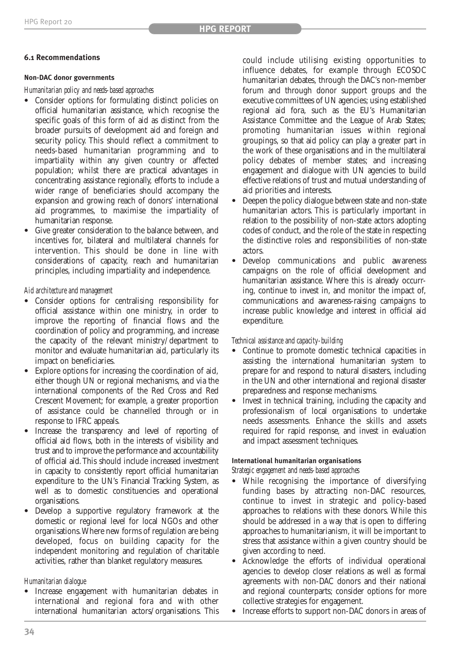#### **6.1 Recommendations**

#### **Non-DAC donor governments**

*Humanitarian policy and needs-based approaches*

- **•** Consider options for formulating distinct policies on official humanitarian assistance, which recognise the specific goals of this form of aid as distinct from the broader pursuits of development aid and foreign and security policy. This should reflect a commitment to needs-based humanitarian programming and to impartiality within any given country or affected population; whilst there are practical advantages in concentrating assistance regionally, efforts to include a wider range of beneficiaries should accompany the expansion and growing reach of donors' international aid programmes, to maximise the impartiality of humanitarian response.
- **•** Give greater consideration to the balance between, and incentives for, bilateral and multilateral channels for intervention. This should be done in line with considerations of capacity, reach and humanitarian principles, including impartiality and independence.

*Aid architecture and management*

- **•** Consider options for centralising responsibility for official assistance within one ministry, in order to improve the reporting of financial flows and the coordination of policy and programming, and increase the capacity of the relevant ministry/department to monitor and evaluate humanitarian aid, particularly its impact on beneficiaries.
- **•** Explore options for increasing the coordination of aid, either though UN or regional mechanisms, and via the international components of the Red Cross and Red Crescent Movement; for example, a greater proportion of assistance could be channelled through or in response to IFRC appeals.
- **•** Increase the transparency and level of reporting of official aid flows, both in the interests of visibility and trust and to improve the performance and accountability of official aid. This should include increased investment in capacity to consistently report official humanitarian expenditure to the UN's Financial Tracking System, as well as to domestic constituencies and operational organisations.
- **•** Develop a supportive regulatory framework at the domestic or regional level for local NGOs and other organisations.Where new forms of regulation are being developed, focus on building capacity for the independent monitoring and regulation of charitable activities, rather than blanket regulatory measures.

#### *Humanitarian dialogue*

**•** Increase engagement with humanitarian debates in international and regional fora and with other international humanitarian actors/organisations. This could include utilising existing opportunities to influence debates, for example through ECOSOC humanitarian debates, through the DAC's non-member forum and through donor support groups and the executive committees of UN agencies; using established regional aid fora, such as the EU's Humanitarian Assistance Committee and the League of Arab States; promoting humanitarian issues within regional groupings, so that aid policy can play a greater part in the work of these organisations and in the multilateral policy debates of member states; and increasing engagement and dialogue with UN agencies to build effective relations of trust and mutual understanding of aid priorities and interests.

- **•** Deepen the policy dialogue between state and non-state humanitarian actors. This is particularly important in relation to the possibility of non-state actors adopting codes of conduct, and the role of the state in respecting the distinctive roles and responsibilities of non-state actors.
- **•** Develop communications and public awareness campaigns on the role of official development and humanitarian assistance. Where this is already occurring, continue to invest in, and monitor the impact of, communications and awareness-raising campaigns to increase public knowledge and interest in official aid expenditure.

*Technical assistance and capacity-building*

- **•** Continue to promote domestic technical capacities in assisting the international humanitarian system to prepare for and respond to natural disasters, including in the UN and other international and regional disaster preparedness and response mechanisms.
- **•** Invest in technical training, including the capacity and professionalism of local organisations to undertake needs assessments. Enhance the skills and assets required for rapid response, and invest in evaluation and impact assessment techniques.

#### **International humanitarian organisations**

*Strategic engagement and needs-based approaches*

- **•** While recognising the importance of diversifying funding bases by attracting non-DAC resources, continue to invest in strategic and policy-based approaches to relations with these donors. While this should be addressed in a way that is open to differing approaches to humanitarianism, it will be important to stress that assistance within a given country should be given according to need.
- **•** Acknowledge the efforts of individual operational agencies to develop closer relations as well as formal agreements with non-DAC donors and their national and regional counterparts; consider options for more collective strategies for engagement.
- **•** Increase efforts to support non-DAC donors in areas of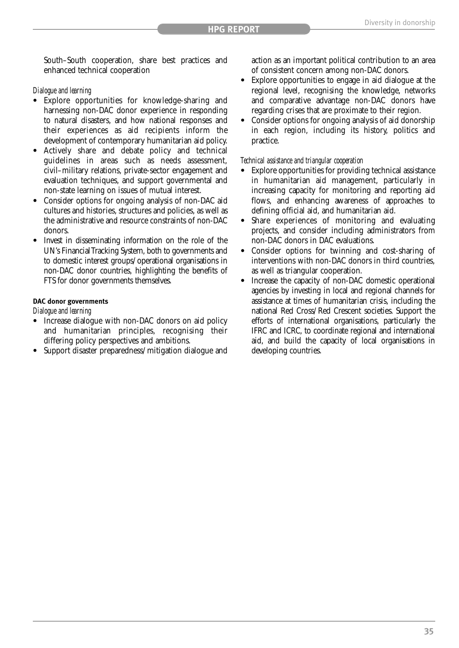South–South cooperation, share best practices and enhanced technical cooperation

#### *Dialogue and learning*

- **•** Explore opportunities for knowledge-sharing and harnessing non-DAC donor experience in responding to natural disasters, and how national responses and their experiences as aid recipients inform the development of contemporary humanitarian aid policy.
- **•** Actively share and debate policy and technical guidelines in areas such as needs assessment, civil–military relations, private-sector engagement and evaluation techniques, and support governmental and non-state learning on issues of mutual interest.
- **•** Consider options for ongoing analysis of non-DAC aid cultures and histories, structures and policies, as well as the administrative and resource constraints of non-DAC donors.
- **•** Invest in disseminating information on the role of the UN's Financial Tracking System, both to governments and to domestic interest groups/operational organisations in non-DAC donor countries, highlighting the benefits of FTS for donor governments themselves.

#### **DAC donor governments**

*Dialogue and learning*

- Increase dialogue with non-DAC donors on aid policy and humanitarian principles, recognising their differing policy perspectives and ambitions.
- **•** Support disaster preparedness/mitigation dialogue and

action as an important political contribution to an area of consistent concern among non-DAC donors.

- **•** Explore opportunities to engage in aid dialogue at the regional level, recognising the knowledge, networks and comparative advantage non-DAC donors have regarding crises that are proximate to their region.
- **•** Consider options for ongoing analysis of aid donorship in each region, including its history, politics and practice.

#### *Technical assistance and triangular cooperation*

- **Explore opportunities for providing technical assistance** in humanitarian aid management, particularly in increasing capacity for monitoring and reporting aid flows, and enhancing awareness of approaches to defining official aid, and humanitarian aid.
- Share experiences of monitoring and evaluating projects, and consider including administrators from non-DAC donors in DAC evaluations.
- **•** Consider options for twinning and cost-sharing of interventions with non-DAC donors in third countries, as well as triangular cooperation.
- **•** Increase the capacity of non-DAC domestic operational agencies by investing in local and regional channels for assistance at times of humanitarian crisis, including the national Red Cross/Red Crescent societies. Support the efforts of international organisations, particularly the IFRC and ICRC, to coordinate regional and international aid, and build the capacity of local organisations in developing countries.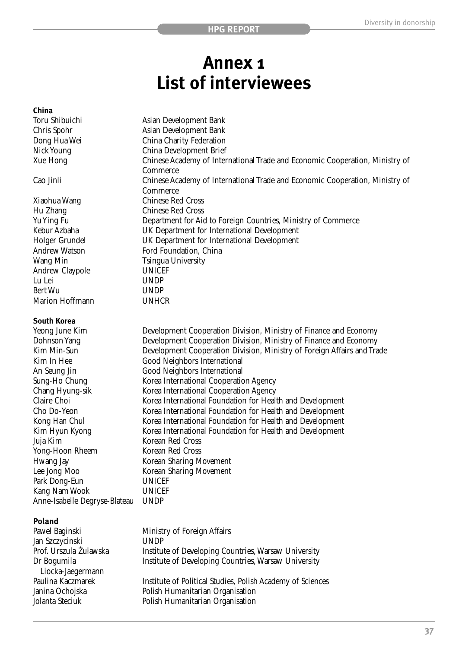### **Annex 1 List of interviewees**

#### **China**

| Toru Shibuichi                 | Asian Development Bank                                                                                                                 |
|--------------------------------|----------------------------------------------------------------------------------------------------------------------------------------|
| Chris Spohr                    | Asian Development Bank                                                                                                                 |
| Dong Hua Wei                   | China Charity Federation                                                                                                               |
| Nick Young                     | China Development Brief                                                                                                                |
| Xue Hong                       | Chinese Academy of International Trade and Economic Cooperation, Ministry of                                                           |
|                                | Commerce                                                                                                                               |
| Cao Jinli                      | Chinese Academy of International Trade and Economic Cooperation, Ministry of                                                           |
|                                | Commerce                                                                                                                               |
| Xiaohua Wang                   | <b>Chinese Red Cross</b>                                                                                                               |
| Hu Zhang                       | <b>Chinese Red Cross</b>                                                                                                               |
| Yu Ying Fu                     | Department for Aid to Foreign Countries, Ministry of Commerce                                                                          |
| Kebur Azbaha                   | UK Department for International Development                                                                                            |
| Holger Grundel                 | UK Department for International Development                                                                                            |
| <b>Andrew Watson</b>           | Ford Foundation, China                                                                                                                 |
| Wang Min                       | <b>Tsingua University</b>                                                                                                              |
| Andrew Claypole                | <b>UNICEF</b>                                                                                                                          |
| Lu Lei                         | <b>UNDP</b>                                                                                                                            |
| Bert Wu                        | <b>UNDP</b>                                                                                                                            |
| Marion Hoffmann                | <b>UNHCR</b>                                                                                                                           |
|                                |                                                                                                                                        |
| <b>South Korea</b>             |                                                                                                                                        |
| Yeong June Kim                 | Development Cooperation Division, Ministry of Finance and Economy<br>Development Cooperation Division, Ministry of Finance and Economy |
| Dohnson Yang<br>Kim Min-Sun    |                                                                                                                                        |
| Kim In Hee                     | Development Cooperation Division, Ministry of Foreign Affairs and Trade                                                                |
|                                | Good Neighbors International                                                                                                           |
| An Seung Jin                   | Good Neighbors International                                                                                                           |
| Sung-Ho Chung                  | Korea International Cooperation Agency                                                                                                 |
| Chang Hyung-sik<br>Claire Choi | Korea International Cooperation Agency                                                                                                 |
|                                | Korea International Foundation for Health and Development                                                                              |
| Cho Do-Yeon                    | Korea International Foundation for Health and Development                                                                              |
| Kong Han Chul                  | Korea International Foundation for Health and Development                                                                              |
| Kim Hyun Kyong                 | Korea International Foundation for Health and Development<br>Korean Red Cross                                                          |
| Juja Kim<br>Yong-Hoon Rheem    | Korean Red Cross                                                                                                                       |
|                                |                                                                                                                                        |
| Hwang Jay                      | Korean Sharing Movement                                                                                                                |
| Lee Jong Moo                   | <b>Korean Sharing Movement</b>                                                                                                         |
| Park Dong-Eun<br>Kang Nam Wook | <b>UNICEF</b><br><b>UNICEF</b>                                                                                                         |
|                                | <b>UNDP</b>                                                                                                                            |
| Anne-Isabelle Degryse-Blateau  |                                                                                                                                        |
| <b>Daland</b>                  |                                                                                                                                        |

#### **Poland**

| Pawel Baginski         | Ministry of Foreign Affairs                                |
|------------------------|------------------------------------------------------------|
| Jan Szczycinski        | <b>UNDP</b>                                                |
| Prof. Urszula Żuławska | Institute of Developing Countries, Warsaw University       |
| Dr Bogumila            | Institute of Developing Countries, Warsaw University       |
| Liocka-Jaegermann      |                                                            |
| Paulina Kaczmarek      | Institute of Political Studies, Polish Academy of Sciences |
| Janina Ochojska        | Polish Humanitarian Organisation                           |
| Jolanta Steciuk        | Polish Humanitarian Organisation                           |
|                        |                                                            |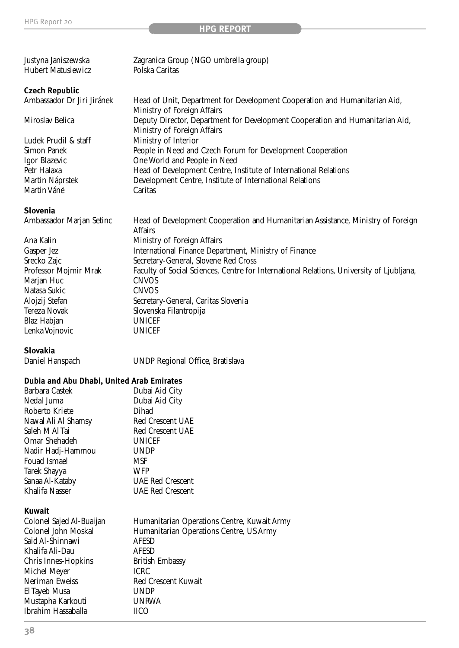#### **HPG REPORT**

| Zagranica Group (NGO umbrella group)                                          |
|-------------------------------------------------------------------------------|
| Polska Caritas                                                                |
|                                                                               |
|                                                                               |
| Head of Unit, Department for Development Cooperation and Humanitarian Aid,    |
| Ministry of Foreign Affairs                                                   |
| Deputy Director, Department for Development Cooperation and Humanitarian Aid, |
| Ministry of Foreign Affairs                                                   |
| Ministry of Interior                                                          |
| People in Need and Czech Forum for Development Cooperation                    |
| One World and People in Need                                                  |
| Head of Development Centre, Institute of International Relations              |
| Development Centre, Institute of International Relations                      |
| Caritas                                                                       |
|                                                                               |
|                                                                               |

#### **Slovenia**

| Ambassador Marjan Setinc | Head of Development Cooperation and Humanitarian Assistance, Ministry of Foreign |
|--------------------------|----------------------------------------------------------------------------------|
|                          | Affairs                                                                          |

|                       | мііан ә                                                                                  |
|-----------------------|------------------------------------------------------------------------------------------|
| Ana Kalin             | Ministry of Foreign Affairs                                                              |
| Gasper Jez            | International Finance Department, Ministry of Finance                                    |
| Srecko Zajc           | Secretary-General, Slovene Red Cross                                                     |
| Professor Mojmir Mrak | Faculty of Social Sciences, Centre for International Relations, University of Ljubljana, |
| Marjan Huc            | <b>CNVOS</b>                                                                             |
| Natasa Sukic          | <b>CNVOS</b>                                                                             |
| Alojzij Stefan        | Secretary-General, Caritas Slovenia                                                      |
| Tereza Novak          | Slovenska Filantropija                                                                   |
| Blaz Habjan           | <b>UNICEF</b>                                                                            |
| Lenka Vojnovic        | <b>UNICEF</b>                                                                            |
|                       |                                                                                          |

**Slovakia** 

UNDP Regional Office, Bratislava

#### **Dubia and Abu Dhabi, United Arab Emirates**

| Barbara Castek           | Dubai Aid City                              |
|--------------------------|---------------------------------------------|
| Nedal Juma               | Dubai Aid City                              |
| Roberto Kriete           | Dihad                                       |
| Nawal Ali Al Shamsy      | Red Crescent UAE                            |
| Saleh M Al Tai           | Red Crescent UAE                            |
| Omar Shehadeh            | <b>UNICEF</b>                               |
| Nadir Hadj-Hammou        | <b>UNDP</b>                                 |
| Fouad Ismael             | MSF                                         |
| Tarek Shayya             | WFP                                         |
| Sanaa Al-Kataby          | UAE Red Crescent                            |
| Khalifa Nasser           | <b>UAE Red Crescent</b>                     |
| <b>Kuwait</b>            |                                             |
| Colonel Sajed Al-Buaijan | Humanitarian Operations Centre, Kuwait Army |
| Colonel John Moskal      | Humanitarian Operations Centre, US Army     |

| COIOHEI Sajeu Al-Duaijan | <b>Humanital lati Operations Centre, Kuwait Army</b> |
|--------------------------|------------------------------------------------------|
| Colonel John Moskal      | Humanitarian Operations Centre, US Army              |
| Said Al-Shinnawi         | AFESD                                                |
| Khalifa Ali-Dau          | <b>AFESD</b>                                         |
| Chris Innes-Hopkins      | <b>British Embassy</b>                               |
| Michel Meyer             | <b>ICRC</b>                                          |
| Neriman Eweiss           | Red Crescent Kuwait                                  |
| El Tayeb Musa            | <b>UNDP</b>                                          |
| Mustapha Karkouti        | <b>UNRWA</b>                                         |
| Ibrahim Hassaballa       | IICO.                                                |
|                          |                                                      |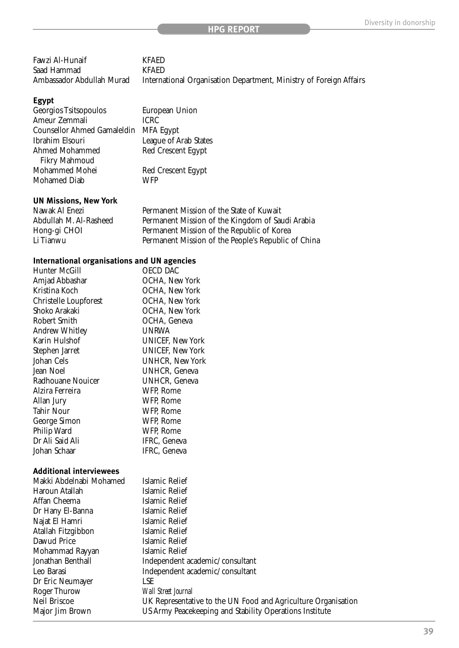| Fawzi Al-Hunaif           | <b>KFAED</b>                                                       |
|---------------------------|--------------------------------------------------------------------|
| Saad Hammad               | <b>KFAFD</b>                                                       |
| Ambassador Abdullah Murad | International Organisation Department, Ministry of Foreign Affairs |

#### **Egypt**

| Georgios Tsitsopoulos              | European Union        |
|------------------------------------|-----------------------|
| Ameur Zemmali                      | <b>ICRC</b>           |
| <b>Counsellor Ahmed Gamaleldin</b> | <b>MFA Egypt</b>      |
| Ibrahim Elsouri                    | League of Arab States |
| Ahmed Mohammed                     | Red Crescent Egypt    |
| <b>Fikry Mahmoud</b>               |                       |
| Mohammed Mohei                     | Red Crescent Egypt    |
| Mohamed Diab                       | WFP                   |
|                                    |                       |

### **UN Missions, New York**

Nawak Al Enezi Permanent Mission of the State of Kuwait<br>Abdullah M. Al-Rasheed Permanent Mission of the Kingdom of Sau Abdullah M. Al-Rasheed Permanent Mission of the Kingdom of Saudi Arabia<br>Hong-gi CHOI Permanent Mission of the Republic of Korea Hong-gi CHOI Permanent Mission of the Republic of Korea Li Tianwu Permanent Mission of the People's Republic of China

#### **International organisations and UN agencies**

| Hunter McGill                  | <b>OECD DAC</b>         |
|--------------------------------|-------------------------|
| Amjad Abbashar                 | OCHA, New York          |
| Kristina Koch                  | OCHA, New York          |
| Christelle Loupforest          | OCHA, New York          |
| Shoko Arakaki                  | OCHA, New York          |
| Robert Smith                   | OCHA, Geneva            |
| Andrew Whitley                 | UNRWA                   |
| Karin Hulshof                  | UNICEF, New York        |
| Stephen Jarret                 | <b>UNICEF, New York</b> |
| Johan Cels                     | <b>UNHCR, New York</b>  |
| Jean Noel                      | UNHCR, Geneva           |
| Radhouane Nouicer              | UNHCR, Geneva           |
| Alzira Ferreira                | WFP, Rome               |
| Allan Jury                     | WFP, Rome               |
| Tahir Nour                     | WFP, Rome               |
| George Simon                   | WFP, Rome               |
| Philip Ward                    | WFP, Rome               |
| Dr Ali Said Ali                | IFRC, Geneva            |
| Johan Schaar                   | IFRC, Geneva            |
| <b>Additional interviewees</b> |                         |
| Makki Abdelnabi Mohamed        | Islamic Relief          |
| 11 (a. 11)                     | יות יוז                 |

| Haroun Atallah     | Islamic Relief                                                |
|--------------------|---------------------------------------------------------------|
| Affan Cheema       | Islamic Relief                                                |
| Dr Hany El-Banna   | Islamic Relief                                                |
| Najat El Hamri     | Islamic Relief                                                |
| Atallah Fitzgibbon | Islamic Relief                                                |
| Dawud Price        | Islamic Relief                                                |
| Mohammad Rayyan    | Islamic Relief                                                |
| Jonathan Benthall  | Independent academic/consultant                               |
| Leo Barasi         | Independent academic/consultant                               |
| Dr Eric Neumayer   | <b>LSE</b>                                                    |
| Roger Thurow       | <b>Wall Street Journal</b>                                    |
| Neil Briscoe       | UK Representative to the UN Food and Agriculture Organisation |
| Major Jim Brown    | US Army Peacekeeping and Stability Operations Institute       |
|                    |                                                               |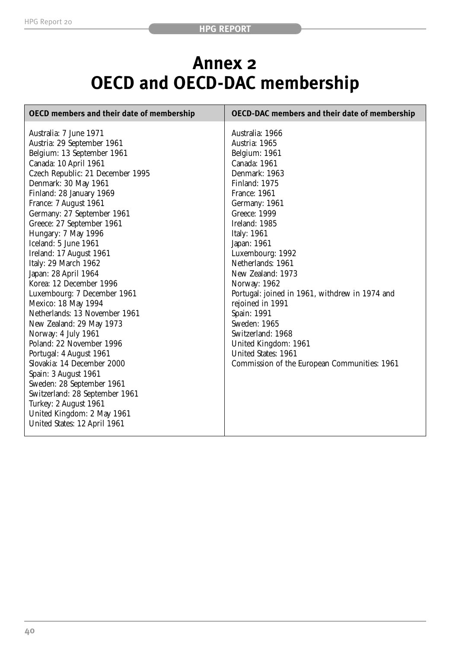### **Annex 2 OECD and OECD-DAC membership**

| <b>OECD members and their date of membership</b>                                                                                                                                                                                                                                                                                                                                                                                                                                                                                                                                                                                                                                                                                                                                                                                                          | <b>OECD-DAC</b> members and their date of membership                                                                                                                                                                                                                                                                                                                                                                                                                                                              |
|-----------------------------------------------------------------------------------------------------------------------------------------------------------------------------------------------------------------------------------------------------------------------------------------------------------------------------------------------------------------------------------------------------------------------------------------------------------------------------------------------------------------------------------------------------------------------------------------------------------------------------------------------------------------------------------------------------------------------------------------------------------------------------------------------------------------------------------------------------------|-------------------------------------------------------------------------------------------------------------------------------------------------------------------------------------------------------------------------------------------------------------------------------------------------------------------------------------------------------------------------------------------------------------------------------------------------------------------------------------------------------------------|
| Australia: 7 June 1971<br>Austria: 29 September 1961<br>Belgium: 13 September 1961<br>Canada: 10 April 1961<br>Czech Republic: 21 December 1995<br>Denmark: 30 May 1961<br>Finland: 28 January 1969<br>France: 7 August 1961<br>Germany: 27 September 1961<br>Greece: 27 September 1961<br>Hungary: 7 May 1996<br>Iceland: 5 June 1961<br>Ireland: 17 August 1961<br>Italy: 29 March 1962<br>Japan: 28 April 1964<br>Korea: 12 December 1996<br>Luxembourg: 7 December 1961<br>Mexico: 18 May 1994<br>Netherlands: 13 November 1961<br>New Zealand: 29 May 1973<br>Norway: 4 July 1961<br>Poland: 22 November 1996<br>Portugal: 4 August 1961<br>Slovakia: 14 December 2000<br>Spain: 3 August 1961<br>Sweden: 28 September 1961<br>Switzerland: 28 September 1961<br>Turkey: 2 August 1961<br>United Kingdom: 2 May 1961<br>United States: 12 April 1961 | Australia: 1966<br>Austria: 1965<br>Belgium: 1961<br>Canada: 1961<br>Denmark: 1963<br>Finland: 1975<br><b>France: 1961</b><br>Germany: 1961<br>Greece: 1999<br>Ireland: 1985<br>Italy: 1961<br>Japan: 1961<br>Luxembourg: 1992<br>Netherlands: 1961<br>New Zealand: 1973<br>Norway: 1962<br>Portugal: joined in 1961, withdrew in 1974 and<br>rejoined in 1991<br>Spain: 1991<br>Sweden: 1965<br>Switzerland: 1968<br>United Kingdom: 1961<br>United States: 1961<br>Commission of the European Communities: 1961 |
|                                                                                                                                                                                                                                                                                                                                                                                                                                                                                                                                                                                                                                                                                                                                                                                                                                                           |                                                                                                                                                                                                                                                                                                                                                                                                                                                                                                                   |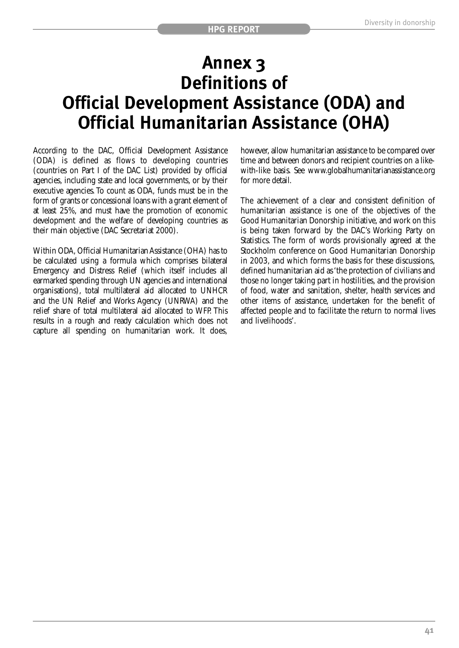### **Annex 3 Definitions of Official Development Assistance (ODA) and Official Humanitarian Assistance (OHA)**

According to the DAC, Official Development Assistance (ODA) is defined as flows to developing countries (countries on Part I of the DAC List) provided by official agencies, including state and local governments, or by their executive agencies. To count as ODA, funds must be in the form of grants or concessional loans with a grant element of at least 25%, and must have the promotion of economic development and the welfare of developing countries as their main objective (DAC Secretariat 2000).

Within ODA, Official Humanitarian Assistance (OHA) has to be calculated using a formula which comprises bilateral Emergency and Distress Relief (which itself includes all earmarked spending through UN agencies and international organisations), total multilateral aid allocated to UNHCR and the UN Relief and Works Agency (UNRWA) and the relief share of total multilateral aid allocated to WFP. This results in a rough and ready calculation which does not capture all spending on humanitarian work. It does, however, allow humanitarian assistance to be compared over time and between donors and recipient countries on a likewith-like basis. See www.globalhumanitarianassistance.org for more detail.

The achievement of a clear and consistent definition of humanitarian assistance is one of the objectives of the Good Humanitarian Donorship initiative, and work on this is being taken forward by the DAC's Working Party on Statistics. The form of words provisionally agreed at the Stockholm conference on Good Humanitarian Donorship in 2003, and which forms the basis for these discussions, defined humanitarian aid as 'the protection of civilians and those no longer taking part in hostilities, and the provision of food, water and sanitation, shelter, health services and other items of assistance, undertaken for the benefit of affected people and to facilitate the return to normal lives and livelihoods'.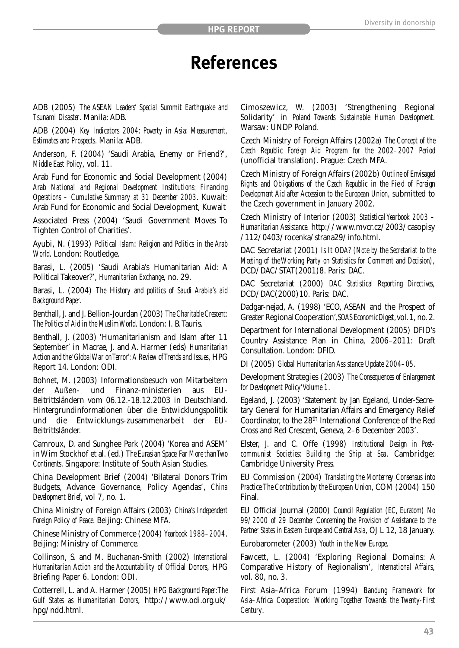### **References**

ADB (2005) *The ASEAN Leaders' Special Summit Earthquake and Tsunami Disaster*. Manila: ADB.

ADB (2004) *Key Indicators 2004: Poverty in Asia: Measurement, Estimates and Prospects*. Manila: ADB.

Anderson, F. (2004) 'Saudi Arabia, Enemy or Friend?', *Middle East Policy*, vol. 11.

Arab Fund for Economic and Social Development (2004) *Arab National and Regional Development Institutions: Financing Operations – Cumulative Summary at 31 December 2003*. Kuwait: Arab Fund for Economic and Social Development, Kuwait

Associated Press (2004) 'Saudi Government Moves To Tighten Control of Charities'.

Ayubi, N. (1993) *Political Islam*: *Religion and Politics in the Arab World*. London: Routledge.

Barasi, L. (2005) 'Saudi Arabia's Humanitarian Aid: A Political Takeover?', *Humanitarian Exchange*, no. 29.

Barasi, L. (2004) *The* H*istory and politics of Saudi Arabia's aid Background Paper*.

Benthall, J. and J. Bellion-Jourdan (2003) *The Charitable Crescent: The Politics of Aid in the Muslim World*. London: I. B.Tauris.

Benthall, J. (2003) 'Humanitarianism and Islam after 11 September' in Macrae, J. and A. Harmer (eds) *Humanitarian Action and the 'Global War on Terror':A Review of Trends and Issues*, HPG Report 14. London: ODI.

Bohnet, M. (2003) Informationsbesuch von Mitarbeitern der Außen- und Finanz-ministerien aus EU-Beitrittsländern vom 06.12.-18.12.2003 in Deutschland. Hintergrundinformationen über die Entwicklungspolitik und die Entwicklungs-zusammenarbeit der EU-Beitrittsländer.

Camroux, D. and Sunghee Park (2004) 'Korea and ASEM' in Wim Stockhof et al. (ed.) *The Eurasian Space:Far More than Two Continents*. Singapore: Institute of South Asian Studies.

China Development Brief (2004) 'Bilateral Donors Trim Budgets, Advance Governance, Policy Agendas', *China Development Brief*, vol 7, no. 1.

China Ministry of Foreign Affairs (2003) *China's Independent Foreign Policy of Peace*. Beijing: Chinese MFA.

Chinese Ministry of Commerce (2004) *Yearbook 1988–2004*. Beijing: Ministry of Commerce.

Collinson, S. and M. Buchanan-Smith (2002) *International Humanitarian Action and the Accountability of Official Donors*, HPG Briefing Paper 6. London: ODI.

Cotterrell, L. and A. Harmer (2005) *HPG Background Paper:The Gulf States as Humanitarian Donors*, http://www.odi.org.uk/ hpg/ndd.html.

Cimoszewicz, W. (2003) 'Strengthening Regional Solidarity' in *Poland Towards Sustainable Human Development*. Warsaw: UNDP Poland.

Czech Ministry of Foreign Affairs (2002a) *The Concept of the Czech Republic Foreign Aid Program for the 2002–2007 Period* (unofficial translation). Prague: Czech MFA.

Czech Ministry of Foreign Affairs (2002b) *Outline of Envisaged Rights and Obligations of the Czech Republic in the Field of Foreign Development Aid after Accession to the European Union*, submitted to the Czech government in January 2002.

Czech Ministry of Interior (2003) *Statistical Yearbook 2003 – Humanitarian Assistance*. http://www.mvcr.cz/2003/casopisy /112/0403/rocenka/strana29/info.html.

DAC Secretariat (2001) *Is It ODA? (Note by the Secretariat to the Meeting of the Working Party on Statistics for Comment and Decision)*, DCD/DAC/STAT(2001)8. Paris: DAC.

DAC Secretariat (2000) *DAC Statistical Reporting Directives*, DCD/DAC(2000)10. Paris: DAC.

Dadgar-nejad, A. (1998) 'ECO, ASEAN and the Prospect of Greater Regional Cooperation',*SOAS EconomicDigest*,vol.1, no. 2.

Department for International Development (2005) DFID's Country Assistance Plan in China, 2006–2011: Draft Consultation. London: DFID.

DI (2005) *Global Humanitarian Assistance Update 2004–05*.

Development Strategies (2003) *The Consequences of Enlargement for Development Policy'Volume 1*.

Egeland, J. (2003) 'Statement by Jan Egeland, Under-Secretary General for Humanitarian Affairs and Emergency Relief Coordinator, to the 28th International Conference of the Red Cross and Red Crescent, Geneva, 2–6 December 2003'.

Elster, J. and C. Offe (1998) *Institutional Design in Postcommunist Societies: Building the Ship at Sea*. Cambridge: Cambridge University Press.

EU Commission (2004) *Translating the Monterrey Consensus into Practice:The Contribution by the European Union*, COM (2004) 150 Final.

EU Official Journal (2000) *Council Regulation (EC, Euratom) No 99/2000 of 29 December Concerning the Provision of Assistance to the Partner States in Eastern Europe and Central Asia*, OJ L 12, 18 January.

Eurobarometer (2003) *Youth in the New Europe*.

Fawcett, L. (2004) 'Exploring Regional Domains: A Comparative History of Regionalism', *International Affairs*, vol. 80, no. 3.

First Asia–Africa Forum (1994) *Bandung Framework for Asia–Africa Cooperation: Working Together Towards the Twenty-First Century*.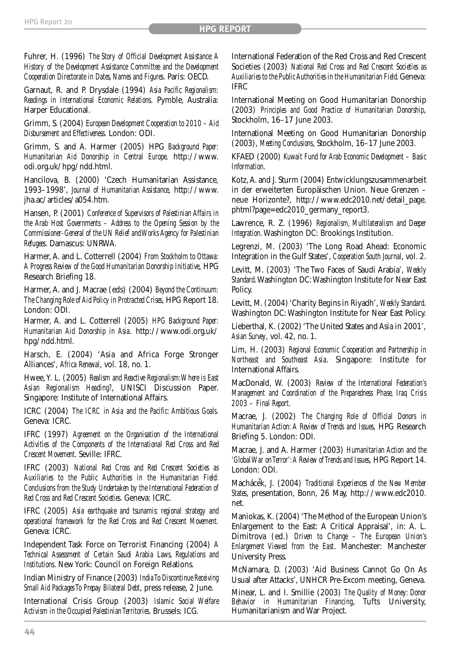Fuhrer, H. (1996) *The Story of Official Development Assistance: A History of the Development Assistance Committee and the Development Cooperation Directorate in Dates, Names and Figures*. Paris: OECD.

Garnaut, R. and P. Drysdale (1994) *Asia Pacific Regionalism: Readings in International Economic Relations*. Pymble, Australia: Harper Educational.

Grimm, S. (2004) *European Development Cooperation to 2010 – Aid Disbursement and Effectiveness*. London: ODI.

Grimm, S. and A. Harmer (2005) HPG *Background Paper: Humanitarian Aid Donorship in Central Europe*. http://www. odi.org.uk/hpg/ndd.html.

Hancilova, B. (2000) 'Czech Humanitarian Assistance, 1993–1998', *Journal of Humanitarian Assistance*, http://www. jha.ac/articles/a054.htm.

Hansen, P. (2001) *Conference of Supervisors of Palestinian Affairs in the Arab Host Governments – Address to the Opening Session by the Commissioner-General of the UN Relief and Works Agency for Palestinian Refugees*. Damascus: UNRWA.

Harmer, A. and L. Cotterrell (2004) *From Stockholm to Ottawa: A Progress Review of the Good Humanitarian Donorship Initiative*, HPG Research Briefing 18.

Harmer, A. and J. Macrae (eds) (2004) *Beyond the Continuum: The Changing Role of Aid Policy in Protracted Crises*, HPG Report 18. London: ODI.

Harmer, A. and L. Cotterrell (2005) *HPG Background Paper: Humanitarian Aid Donorship in Asia*. http://www.odi.org.uk/ hpg/ndd.html.

Harsch, E. (2004) 'Asia and Africa Forge Stronger Alliances', *Africa Renewal*, vol. 18, no. 1.

Hwee,Y. L. (2005) *Realism and Reactive Regionalism:Where is East Asian Regionalism Heading?*, UNISCI Discussion Paper. Singapore: Institute of International Affairs.

ICRC (2004) *The ICRC in Asia and the Pacific: Ambitious Goals*. Geneva: ICRC.

IFRC (1997) *Agreement on the Organisation of the International Activities of the Components of the International Red Cross and Red Crescent Movement*. Seville: IFRC.

IFRC (2003) *National Red Cross and Red Crescent Societies as Auxiliaries to the Public Authorities in the Humanitarian Field: Conclusions from the Study Undertaken by the International Federation of Red Cross and Red Crescent Societies*. Geneva: ICRC.

IFRC (2005) *Asia earthquake and tsunamis: regional strategy and operational framework for the Red Cross and Red Crescent Movement.* Geneva: ICRC.

Independent Task Force on Terrorist Financing (2004) *A Technical Assessment of Certain Saudi Arabia Laws, Regulations and Institutions*. NewYork: Council on Foreign Relations.

Indian Ministry of Finance (2003) *India To Discontinue Receiving Small Aid Packages To Prepay Bilateral Debt*, press release, 2 June.

International Crisis Group (2003) *Islamic Social Welfare Activism in the Occupied Palestinian Territories*. Brussels: ICG.

International Federation of the Red Cross and Red Crescent Societies (2003) *National Red Cross and Red Crescent Societies as Auxiliaries to the Public Authorities in the Humanitarian Field.*Geneva: IFRC

International Meeting on Good Humanitarian Donorship (2003) *Principles and Good Practice of Humanitarian Donorship*, Stockholm, 16–17 June 2003.

International Meeting on Good Humanitarian Donorship (2003), *Meeting Conclusions*, Stockholm, 16–17 June 2003.

KFAED (2000) *Kuwait Fund for Arab Economic Development – Basic Information*.

Kotz,A. and J. Sturm (2004) Entwicklungszusammenarbeit in der erweiterten Europäischen Union. Neue Grenzen – neue Horizonte?, http://www.edc2010.net/detail\_page. phtml?page=edc2010\_germany\_report3.

Lawrence, R. Z. (1996) *Regionalism, Multilateralism and Deeper Integration*. Washington DC: Brookings Institution.

Legrenzi, M. (2003) 'The Long Road Ahead: Economic Integration in the Gulf States', *Cooperation South Journal*, vol. 2.

Levitt, M. (2003) 'The Two Faces of Saudi Arabia', *Weekly Standard*.Washington DC:Washington Institute for Near East Policy.

Levitt, M. (2004) 'Charity Begins in Riyadh', *Weekly Standard*. Washington DC: Washington Institute for Near East Policy.

Lieberthal, K. (2002) 'The United States and Asia in 2001', *Asian Survey*, vol. 42, no. 1.

Lim, H. (2003) *Regional Economic Cooperation and Partnership in Northeast and Southeast Asia*. Singapore: Institute for International Affairs.

MacDonald, W. (2003) *Review of the International Federation's Management and Coordination of the Preparedness Phase, Iraq Crisis 2003 – Final Report*.

Macrae, J. (2002) *The Changing Role of Official Donors in Humanitarian Action: A Review of Trends and Issues*, HPG Research Briefing 5. London: ODI.

Macrae, J. and A. Harmer (2003) *Humanitarian Action and the 'Global War on Terror':A Review of Trends and Issues*, HPG Report 14. London: ODI.

Machácek, J. (2004) Traditional Experiences of the New Member *States*, presentation, Bonn, 26 May, http://www.edc2010. net.

Maniokas, K. (2004) 'The Method of the European Union's Enlargement to the East: A Critical Appraisal', in: A. L. Dimitrova (ed.) *Driven to Change – The European Union's Enlargement Viewed from the East*. Manchester: Manchester University Press.

McNamara, D. (2003) 'Aid Business Cannot Go On As Usual after Attacks', UNHCR Pre-Excom meeting, Geneva.

Minear, L. and I. Smillie (2003) *The Quality of Money: Donor Behavior in Humanitarian Financing*, Tufts University, Humanitarianism and War Project.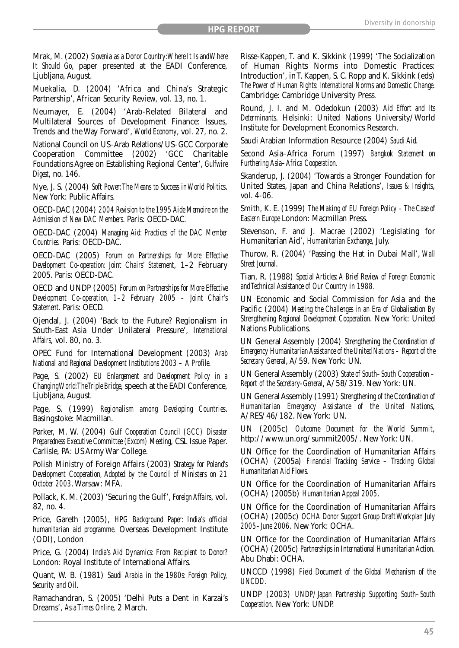Mrak, M. (2002) *Slovenia as a Donor Country:Where It Is and Where It Should Go*, paper presented at the EADI Conference, Ljubljana, August.

Muekalia, D. (2004) 'Africa and China's Strategic Partnership', African Security Review, vol. 13, no. 1.

Neumayer, E. (2004) 'Arab-Related Bilateral and Multilateral Sources of Development Finance: Issues, Trends and the Way Forward', *World Economy*, vol. 27, no. 2.

National Council on US–Arab Relations/US–GCC Corporate Cooperation Committee (2002) 'GCC Charitable Foundations Agree on Establishing Regional Center', *Gulfwire Digest*, no. 146.

Nye, J. S. (2004) *Soft Power:The Means to Success in World Politics*. New York: Public Affairs.

OECD-DAC (2004) *2004 Revision to the 1995 Aide Memoire on the Admission of New DAC Members*. Paris: OECD-DAC.

OECD-DAC (2004) *Managing Aid: Practices of the DAC Member Countries.* Paris: OECD-DAC.

OECD-DAC (2005) *Forum on Partnerships for More Effective Development Co-operation: Joint Chairs' Statement*, 1–2 February 2005. Paris: OECD-DAC.

OECD and UNDP (2005) *Forum on Partnerships for More Effective Development Co-operation, 1–2 February 2005 – Joint Chair's Statement*. Paris: OECD.

Ojendal, J. (2004) 'Back to the Future? Regionalism in South-East Asia Under Unilateral Pressure', *International Affairs*, vol. 80, no. 3.

OPEC Fund for International Development (2003) *Arab National and Regional Development Institutions 2003 – A Profile*.

Page, S. (2002) *EU Enlargement and Development Policy in a Changing World:The Triple Bridge*, speech at the EADI Conference, Ljubljana, August.

Page, S. (1999) *Regionalism among Developing Countries*. Basingstoke: Macmillan.

Parker, M. W. (2004) *Gulf Cooperation Council (GCC) Disaster Preparedness Executive Committee (Excom) Meeting*, CSL Issue Paper. Carlisle, PA: US Army War College.

Polish Ministry of Foreign Affairs (2003) *Strategy for Poland's Development Cooperation, Adopted by the Council of Ministers on 21 October 2003*. Warsaw: MFA.

Pollack, K. M. (2003) 'Securing the Gulf', *Foreign Affairs*, vol. 82, no. 4.

Price, Gareth (2005), *HPG Background Paper: India's official humanitarian aid programme*. Overseas Development Institute (ODI), London

Price, G. (2004) *India's Aid Dynamics: From Recipient to Donor?* London: Royal Institute of International Affairs.

Quant, W. B. (1981) *Saudi Arabia in the 1980s: Foreign Policy, Security and Oil*.

Ramachandran, S. (2005) 'Delhi Puts a Dent in Karzai's Dreams', *Asia Times Online*, 2 March.

Risse-Kappen, T. and K. Sikkink (1999) 'The Socialization of Human Rights Norms into Domestic Practices: Introduction', in T. Kappen, S. C. Ropp and K. Sikkink (eds) *The Power of Human Rights: International Norms and Domestic Change*. Cambridge: Cambridge University Press.

Round, J. I. and M. Odedokun (2003) *Aid Effort and Its Determinants*. Helsinki: United Nations University/World Institute for Development Economics Research.

Saudi Arabian Information Resource (2004) *Saudi Aid*.

Second Asia–Africa Forum (1997) *Bangkok Statement on Furthering Asia–Africa Cooperation*.

Skanderup, J. (2004) 'Towards a Stronger Foundation for United States, Japan and China Relations', *Issues & Insights*, vol. 4-06.

Smith, K. E. (1999) *The Making of EU Foreign Policy – The Case of Eastern Europe* London: Macmillan Press.

Stevenson, F. and J. Macrae (2002) 'Legislating for Humanitarian Aid', *Humanitarian Exchange*, July.

Thurow, R. (2004) 'Passing the Hat in Dubai Mall', *Wall Street Journal*.

Tian, R. (1988) *Special Articles: A Brief Review of Foreign Economic and Technical Assistance of Our Country in 1988*.

UN Economic and Social Commission for Asia and the Pacific (2004) *Meeting the Challenges in an Era of Globalisation By Strengthening Regional Development Cooperation*. New York: United Nations Publications.

UN General Assembly (2004) *Strengthening the Coordination of Emergency Humanitarian Assistance of the United Nations – Report of the Secretary General*, A/59. New York: UN.

UN General Assembly (2003) *State of South–South Cooperation – Report of the Secretary-General*, A/58/319. New York: UN.

UN General Assembly (1991) *Strengthening of the Coordination of Humanitarian Emergency Assistance of the United Nations*, A/RES/46/182. New York: UN.

UN (2005c) *Outcome Document for the World Summit*, http://www.un.org/summit2005/. New York: UN.

UN Office for the Coordination of Humanitarian Affairs (OCHA) (2005a) *Financial Tracking Service – Tracking Global Humanitarian Aid Flows*.

UN Office for the Coordination of Humanitarian Affairs (OCHA) (2005b) *Humanitarian Appeal 2005*.

UN Office for the Coordination of Humanitarian Affairs (OCHA) (2005c) *OCHA Donor Support Group Draft Workplan July 2005–June 2006*. NewYork: OCHA.

UN Office for the Coordination of Humanitarian Affairs (OCHA) (2005c) *Partnerships in International Humanitarian Action*. Abu Dhabi: OCHA.

UNCCD (1998) *Field Document of the Global Mechanism of the UNCDD*.

UNDP (2003) *UNDP/Japan Partnership Supporting South–South Cooperation*. NewYork: UNDP.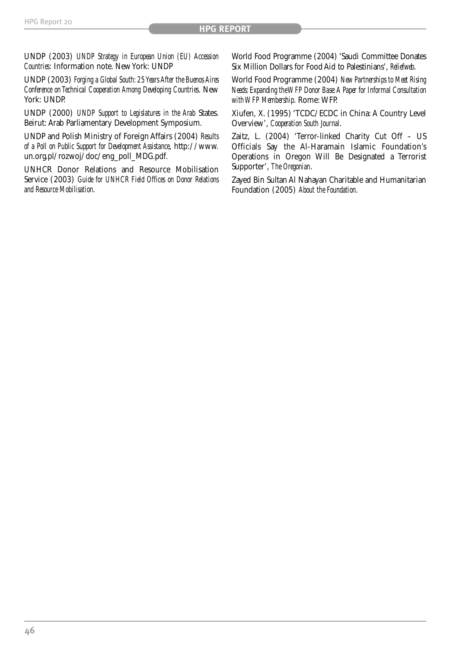UNDP (2003) *UNDP Strategy in European Union (EU) Accession Countries*: Information note. New York: UNDP

UNDP (2003) *Forging a Global South: 25 Years After the Buenos Aires Conference on Technical Cooperation Among Developing Countries*. New York: UNDP.

UNDP (2000) *UNDP Support to Legislatures in the Arab* States. Beirut: Arab Parliamentary Development Symposium.

UNDP and Polish Ministry of Foreign Affairs (2004) *Results of a Poll on Public Support for Development Assistance*, http://www. un.org.pl/rozwoj/doc/eng\_poll\_MDG.pdf.

UNHCR Donor Relations and Resource Mobilisation Service (2003) *Guide for UNHCR Field Offices on Donor Relations and Resource Mobilisation*.

World Food Programme (2004) 'Saudi Committee Donates Six Million Dollars for Food Aid to Palestinians', *Reliefweb*.

World Food Programme (2004) *New Partnerships to Meet Rising Needs: Expanding the WFP Donor Base:A Paper for Informal Consultation with WFP Membership*. Rome: WFP.

Xiufen, X. (1995) 'TCDC/ECDC in China: A Country Level Overview', *Cooperation South Journal*.

Zaitz, L. (2004) 'Terror-linked Charity Cut Off – US Officials Say the Al-Haramain Islamic Foundation's Operations in Oregon Will Be Designated a Terrorist Supporter', *The Oregonian*.

Zayed Bin Sultan Al Nahayan Charitable and Humanitarian Foundation (2005) *About the Foundation*.